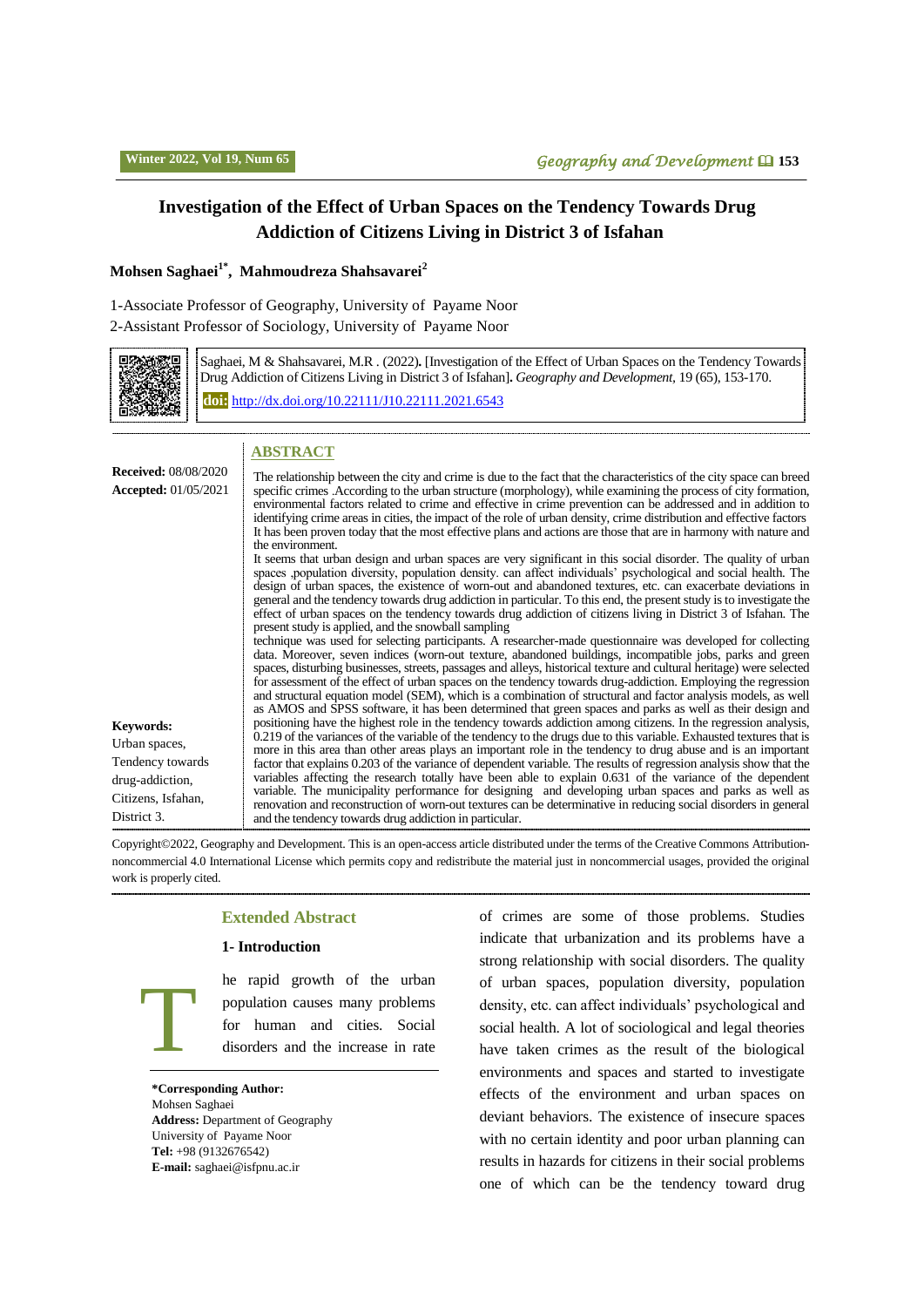# **Investigation of the Effect of Urban Spaces on the Tendency Towards Drug Addiction of Citizens Living in District 3 of Isfahan**

### **Mohsen Saghaei1\* , Mahmoudreza Shahsavarei<sup>2</sup>**

1-Associate Professor of Geography, University of Payame Noor

2-Assistant Professor of Sociology, University of Payame Noor



Saghaei, M & Shahsavarei, M.R . (2022)**.** [Investigation of the Effect of Urban Spaces on the Tendency Towards Drug Addiction of Citizens Living in District 3 of Isfahan]**.** *Geography and Development,* 19 (65), 153-170. **doi:** http://dx.doi.or[g/10.22111/J10.22111.2021.6543](https://dx.doi.org/10.22111/j10.22111.2021.6543)

# **ABSTRACT**

| <b>Received: 08/08/2020</b><br><b>Accepted:</b> 01/05/2021                                                    | The relationship between the city and crime is due to the fact that the characteristics of the city space can breed<br>specific crimes . According to the urban structure (morphology), while examining the process of city formation,<br>environmental factors related to crime and effective in crime prevention can be addressed and in addition to<br>identifying crime areas in cities, the impact of the role of urban density, crime distribution and effective factors<br>It has been proven today that the most effective plans and actions are those that are in harmony with nature and<br>the environment.<br>It seems that urban design and urban spaces are very significant in this social disorder. The quality of urban<br>spaces population diversity, population density, can affect individuals' psychological and social health. The<br>design of urban spaces, the existence of worn-out and abandoned textures, etc. can exacerbate deviations in<br>general and the tendency towards drug addiction in particular. To this end, the present study is to investigate the<br>effect of urban spaces on the tendency towards drug addiction of citizens living in District 3 of Isfahan. The<br>present study is applied, and the snowball sampling<br>technique was used for selecting participants. A researcher-made questionnaire was developed for collecting<br>data. Moreover, seven indices (worn-out texture, abandoned buildings, incompatible jobs, parks and green<br>spaces, disturbing businesses, streets, passages and alleys, historical texture and cultural heritage) were selected |
|---------------------------------------------------------------------------------------------------------------|-----------------------------------------------------------------------------------------------------------------------------------------------------------------------------------------------------------------------------------------------------------------------------------------------------------------------------------------------------------------------------------------------------------------------------------------------------------------------------------------------------------------------------------------------------------------------------------------------------------------------------------------------------------------------------------------------------------------------------------------------------------------------------------------------------------------------------------------------------------------------------------------------------------------------------------------------------------------------------------------------------------------------------------------------------------------------------------------------------------------------------------------------------------------------------------------------------------------------------------------------------------------------------------------------------------------------------------------------------------------------------------------------------------------------------------------------------------------------------------------------------------------------------------------------------------------------------------------------------------------------------|
| <b>Keywords:</b><br>Urban spaces,<br>Tendency towards<br>drug-addiction,<br>Citizens, Isfahan,<br>District 3. | for assessment of the effect of urban spaces on the tendency towards drug-addiction. Employing the regression<br>and structural equation model (SEM), which is a combination of structural and factor analysis models, as well<br>as AMOS and SPSS software, it has been determined that green spaces and parks as well as their design and<br>positioning have the highest role in the tendency towards addiction among citizens. In the regression analysis,<br>0.219 of the variances of the variable of the tendency to the drugs due to this variable. Exhausted textures that is<br>more in this area than other areas plays an important role in the tendency to drug abuse and is an important<br>factor that explains 0.203 of the variance of dependent variable. The results of regression analysis show that the<br>variables affecting the research totally have been able to explain 0.631 of the variance of the dependent<br>variable. The municipality performance for designing and developing urban spaces and parks as well as<br>renovation and reconstruction of worn-out textures can be determinative in reducing social disorders in general<br>and the tendency towards drug addiction in particular.                                                                                                                                                                                                                                                                                                                                                                                             |

Copyright©2022, Geography and Development. This is an open-access article distributed under the terms of the Creative Commons Attributionnoncommercial 4.0 International License which permits copy and redistribute the material just in noncommercial usages, provided the original work is properly cited.

### **Extended Abstract**

### **1- Introduction**

he rapid growth of the urban population causes many problems for human and cities. Social disorders and the increase in rate

**\*Corresponding Author:** Mohsen Saghaei **Address:** Department of Geography University of Payame Noor **Tel:** +98 (9132676542) **E-mail:** [saghaei@isfpnu.ac.ir](mailto:saghaei@isfpnu.ac.ir)

T

> of crimes are some of those problems. Studies indicate that urbanization and its problems have a strong relationship with social disorders. The quality of urban spaces, population diversity, population density, etc. can affect individuals' psychological and social health. A lot of sociological and legal theories have taken crimes as the result of the biological environments and spaces and started to investigate effects of the environment and urban spaces on deviant behaviors. The existence of insecure spaces with no certain identity and poor urban planning can results in hazards for citizens in their social problems one of which can be the tendency toward drug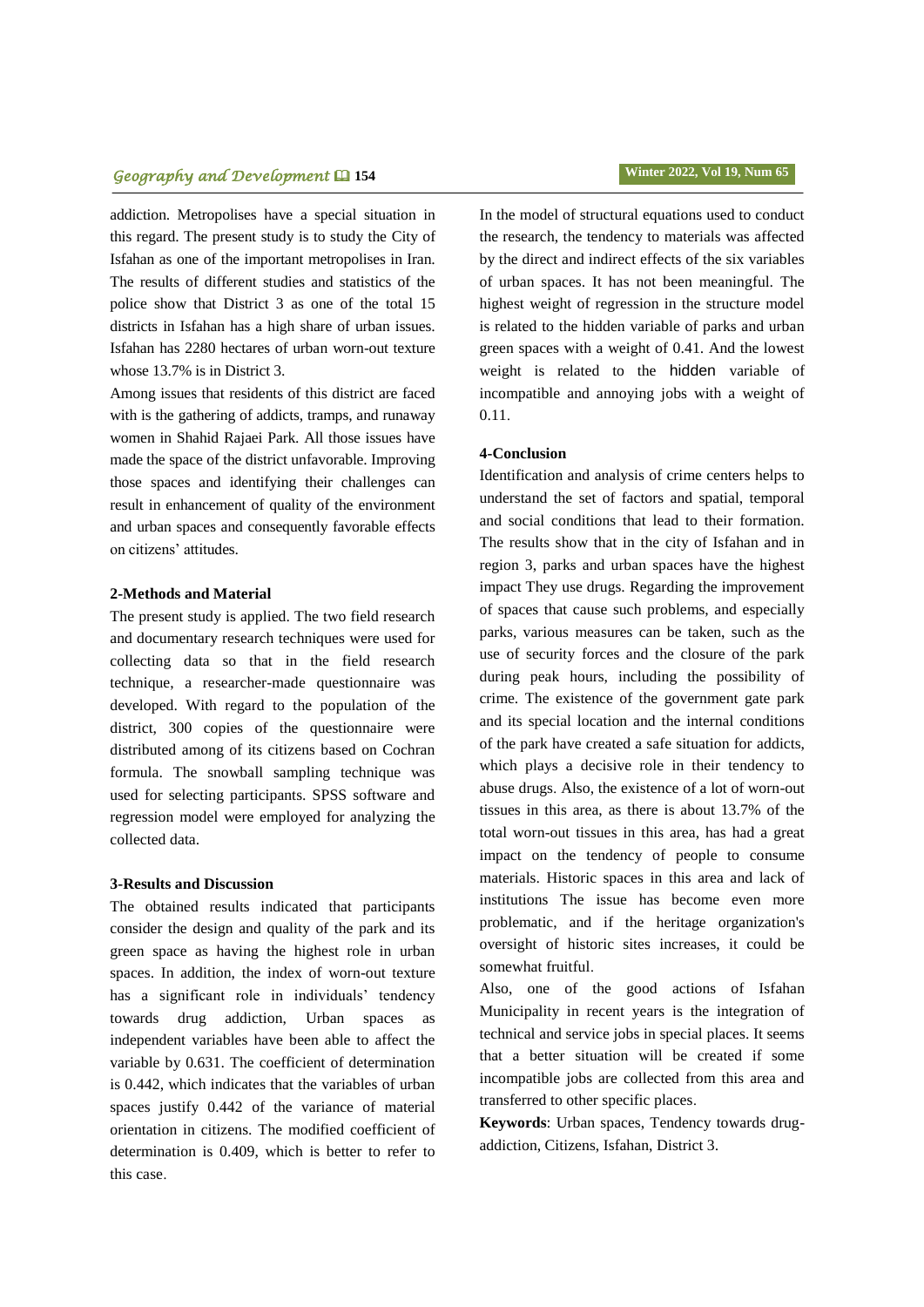# **فصلنامه جغرافیا و توسعه** 351 *Geography and Development* **154 Winter 2022, Vol 19, Num 65**

addiction. Metropolises have a special situation in this regard. The present study is to study the City of Isfahan as one of the important metropolises in Iran. The results of different studies and statistics of the police show that District 3 as one of the total 15 districts in Isfahan has a high share of urban issues. Isfahan has 2280 hectares of urban worn-out texture whose 13.7% is in District 3.

Among issues that residents of this district are faced with is the gathering of addicts, tramps, and runaway women in Shahid Rajaei Park. All those issues have made the space of the district unfavorable. Improving those spaces and identifying their challenges can result in enhancement of quality of the environment and urban spaces and consequently favorable effects on citizens' attitudes.

### **2-Methods and Material**

The present study is applied. The two field research and documentary research techniques were used for collecting data so that in the field research technique, a researcher-made questionnaire was developed. With regard to the population of the district, 300 copies of the questionnaire were distributed among of its citizens based on Cochran formula. The snowball sampling technique was used for selecting participants. SPSS software and regression model were employed for analyzing the collected data.

#### **3-Results and Discussion**

The obtained results indicated that participants consider the design and quality of the park and its green space as having the highest role in urban spaces. In addition, the index of worn-out texture has a significant role in individuals' tendency towards drug addiction, Urban spaces as independent variables have been able to affect the variable by 0.631. The coefficient of determination is 0.442, which indicates that the variables of urban spaces justify 0.442 of the variance of material orientation in citizens. The modified coefficient of determination is 0.409, which is better to refer to this case.

In the model of structural equations used to conduct the research, the tendency to materials was affected by the direct and indirect effects of the six variables of urban spaces. It has not been meaningful. The highest weight of regression in the structure model is related to the hidden variable of parks and urban green spaces with a weight of 0.41. And the lowest weight is related to the hidden variable of incompatible and annoying jobs with a weight of 0.11.

### **4-Conclusion**

Identification and analysis of crime centers helps to understand the set of factors and spatial, temporal and social conditions that lead to their formation. The results show that in the city of Isfahan and in region 3, parks and urban spaces have the highest impact They use drugs. Regarding the improvement of spaces that cause such problems, and especially parks, various measures can be taken, such as the use of security forces and the closure of the park during peak hours, including the possibility of crime. The existence of the government gate park and its special location and the internal conditions of the park have created a safe situation for addicts, which plays a decisive role in their tendency to abuse drugs. Also, the existence of a lot of worn-out tissues in this area, as there is about 13.7% of the total worn-out tissues in this area, has had a great impact on the tendency of people to consume materials. Historic spaces in this area and lack of institutions The issue has become even more problematic, and if the heritage organization's oversight of historic sites increases, it could be somewhat fruitful.

Also, one of the good actions of Isfahan Municipality in recent years is the integration of technical and service jobs in special places. It seems that a better situation will be created if some incompatible jobs are collected from this area and transferred to other specific places.

**Keywords**: Urban spaces, Tendency towards drugaddiction, Citizens, Isfahan, District 3.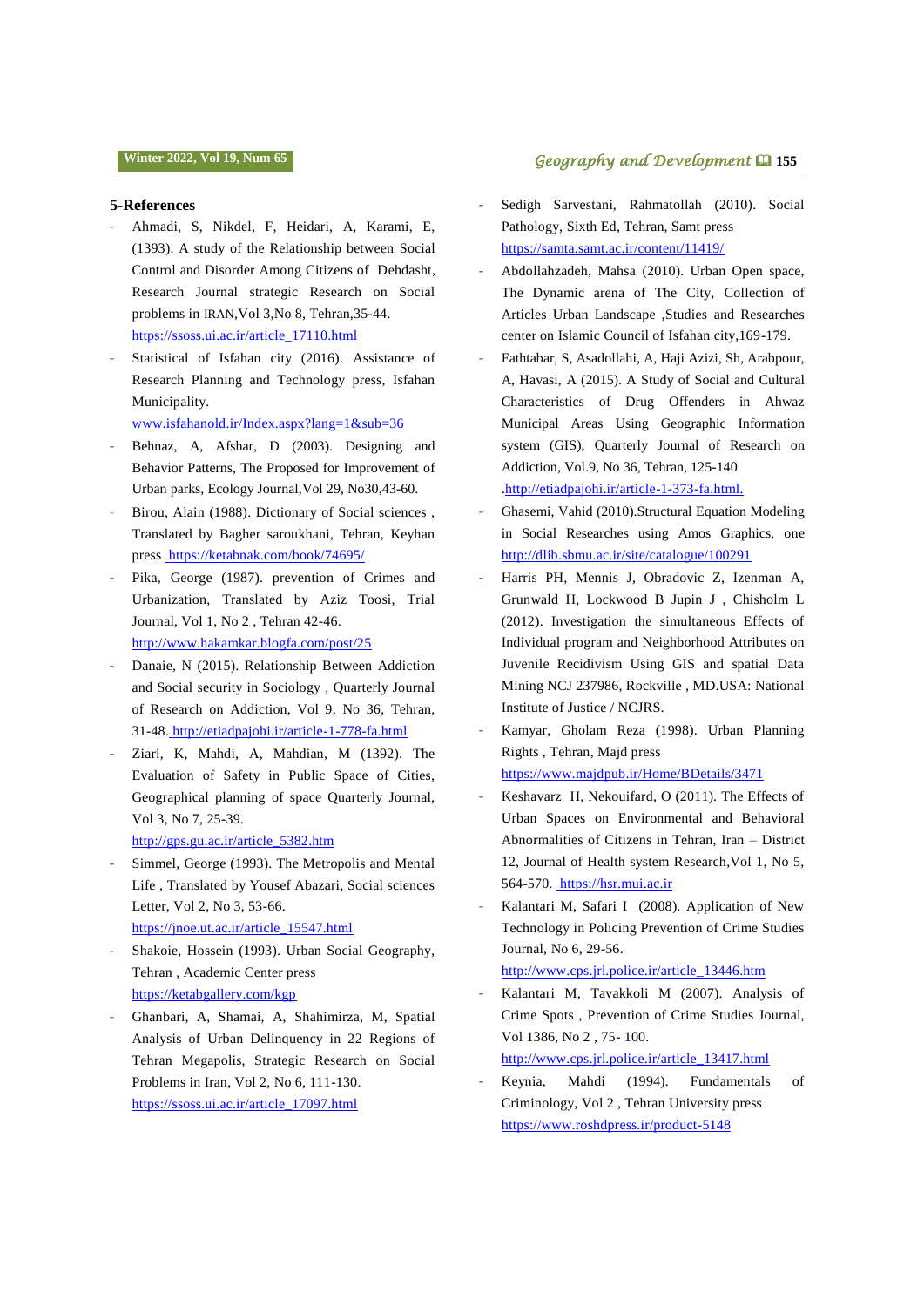#### **5-References**

- Ahmadi, S, Nikdel, F, Heidari, A, Karami, E, (1393). A study of the Relationship between Social Control and Disorder Among Citizens of Dehdasht, Research Journal strategic Research on Social problems in IRAN,Vol 3,No 8, Tehran,35-44. https://ssoss.ui.ac.ir/article\_17110.html
- Statistical of Isfahan city (2016). Assistance of Research Planning and Technology press, Isfahan Municipality.

www.isfahanold.ir/Index.aspx?lang=1&sub=36

- Behnaz, A, Afshar, D (2003). Designing and Behavior Patterns, The Proposed for Improvement of Urban parks, Ecology Journal,Vol 29, No30,43-60.
- Birou, Alain (1988). Dictionary of Social sciences, Translated by Bagher saroukhani, Tehran, Keyhan press https://ketabnak.com/book/74695/
- Pika, George (1987). prevention of Crimes and Urbanization, Translated by Aziz Toosi, Trial Journal, Vol 1, No 2 , Tehran 42-46. http://www.hakamkar.blogfa.com/post/25
- Danaie, N (2015). Relationship Between Addiction and Social security in Sociology , Quarterly Journal of Research on Addiction, Vol 9, No 36, Tehran, 31-48. http://etiadpajohi.ir/article-1-778-fa.html
- Ziari, K, Mahdi, A, Mahdian, M (1392). The Evaluation of Safety in Public Space of Cities, Geographical planning of space Quarterly Journal, Vol 3, No 7, 25-39.

http://gps.gu.ac.ir/article\_5382.htm

- Simmel, George (1993). The Metropolis and Mental Life , Translated by Yousef Abazari, Social sciences Letter, Vol 2, No 3, 53-66. https://jnoe.ut.ac.ir/article\_15547.html
- 
- Shakoie, Hossein (1993). Urban Social Geography, Tehran , Academic Center press https://ketabgallery.com/kgp
- Ghanbari, A, Shamai, A, Shahimirza, M, Spatial Analysis of Urban Delinquency in 22 Regions of Tehran Megapolis, Strategic Research on Social Problems in Iran, Vol 2, No 6, 111-130. https://ssoss.ui.ac.ir/article\_17097.html

# **i** Geography and Development **Q** 155

- Sedigh Sarvestani, Rahmatollah (2010). Social Pathology, Sixth Ed, Tehran, Samt press https://samta.samt.ac.ir/content/11419/
- Abdollahzadeh, Mahsa (2010). Urban Open space, The Dynamic arena of The City, Collection of Articles Urban Landscape ,Studies and Researches center on Islamic Council of Isfahan city,169-179.
- Fathtabar, S, Asadollahi, A, Haji Azizi, Sh, Arabpour, A, Havasi, A (2015). A Study of Social and Cultural Characteristics of Drug Offenders in Ahwaz Municipal Areas Using Geographic Information system (GIS), Quarterly Journal of Research on Addiction, Vol.9, No 36, Tehran, 125-140 .http://etiadpajohi.ir/article-1-373-fa.html.
- Ghasemi, Vahid (2010).Structural Equation Modeling in Social Researches using Amos Graphics, one <http://dlib.sbmu.ac.ir/site/catalogue/100291>
- Harris PH, Mennis J, Obradovic Z, Izenman A, Grunwald H, Lockwood B Jupin J , Chisholm L (2012). Investigation the simultaneous Effects of Individual program and Neighborhood Attributes on Juvenile Recidivism Using GIS and spatial Data Mining NCJ 237986, Rockville , MD.USA: National Institute of Justice / NCJRS.
- Kamyar, Gholam Reza (1998). Urban Planning Rights , Tehran, Majd press
	- https://www.majdpub.ir/Home/BDetails/3471
- Keshavarz H, Nekouifard, O (2011). The Effects of Urban Spaces on Environmental and Behavioral Abnormalities of Citizens in Tehran, Iran – District 12, Journal of Health system Research,Vol 1, No 5, 564-570. https://hsr.mui.ac.ir
- Kalantari M, Safari I (2008). Application of New Technology in Policing Prevention of Crime Studies Journal, No 6, 29-56.

http://www.cps.jrl.police.ir/article\_13446.htm

- Kalantari M, Tavakkoli M (2007). Analysis of Crime Spots , Prevention of Crime Studies Journal, Vol 1386, No 2 , 75- 100.
- http://www.cps.jrl.police.ir/article\_13417.html
- Keynia, Mahdi (1994). Fundamentals of Criminology, Vol 2 , Tehran University press https://www.roshdpress.ir/product-5148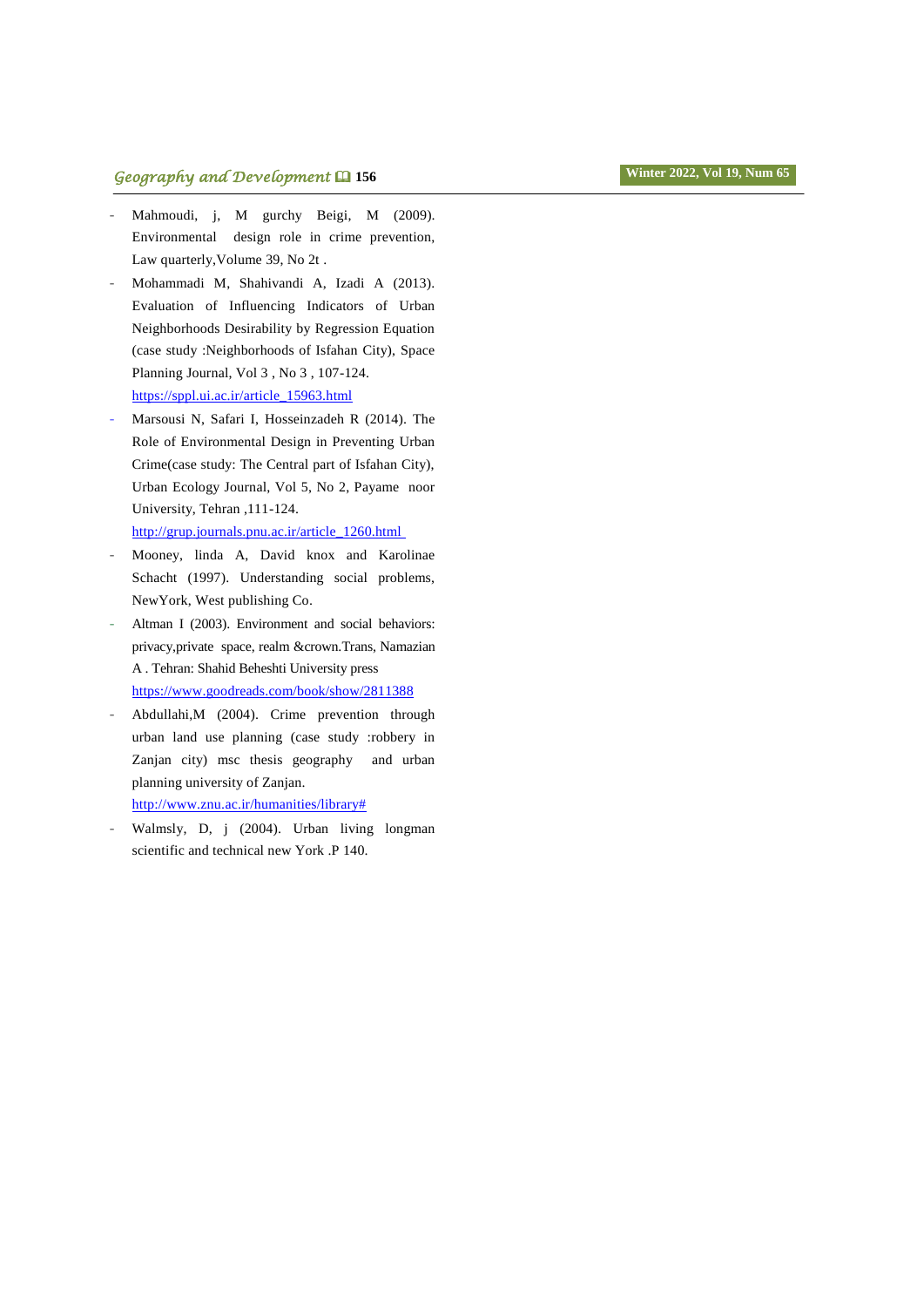- Mahmoudi, j, M gurchy Beigi, M (2009). Environmental design role in crime prevention, Law quarterly,Volume 39, No 2t .
- Mohammadi M, Shahivandi A, Izadi A (2013). Evaluation of Influencing Indicators of Urban Neighborhoods Desirability by Regression Equation (case study :Neighborhoods of Isfahan City), Space Planning Journal, Vol 3 , No 3 , 107-124. https://sppl.ui.ac.ir/article\_15963.html
- Marsousi N, Safari I, Hosseinzadeh R (2014). The Role of Environmental Design in Preventing Urban Crime(case study: The Central part of Isfahan City), Urban Ecology Journal, Vol 5, No 2, Payame noor University, Tehran ,111-124. http://grup.journals.pnu.ac.ir/article\_1260.html
- Mooney, linda A, David knox and Karolinae Schacht (1997). Understanding social problems, NewYork, West publishing Co.
- Altman I (2003). Environment and social behaviors: privacy,private space, realm &crown.Trans, Namazian A . Tehran: Shahid Beheshti University press <https://www.goodreads.com/book/show/2811388>
- Abdullahi,M (2004). Crime prevention through urban land use planning (case study :robbery in Zanjan city) msc thesis geography and urban planning university of Zanjan. http://www.znu.ac.ir/humanities/library#
- Walmsly, D, j (2004). Urban living longman scientific and technical new York .P 140.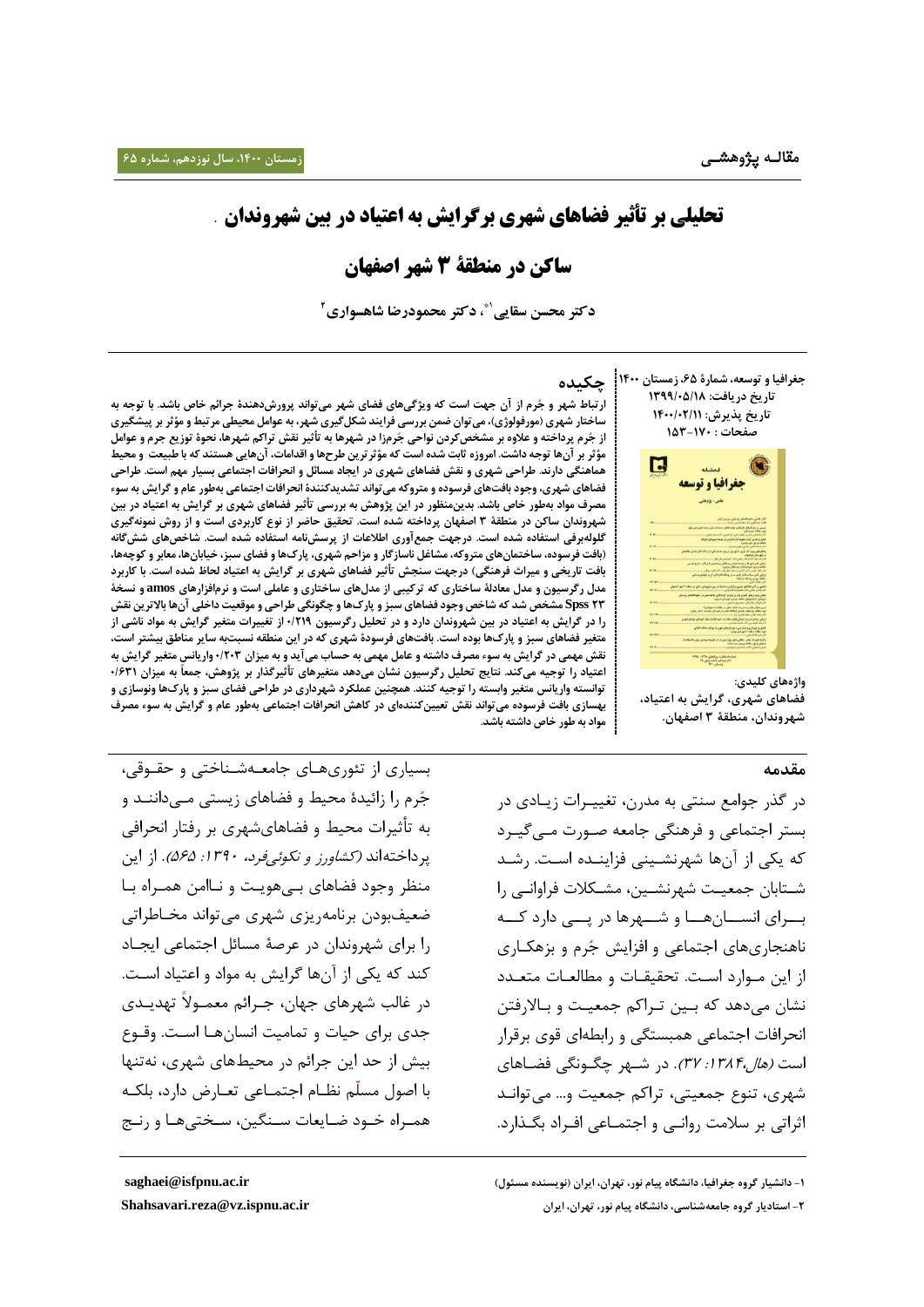# **تحلیلی بر تأثیر فضاهای شهری برگرایش به اعتیاد در بین شهروندان** .

# **ساکن در منطقۀ 3 شهر اصفهان**

**2 ، دکتر محمودرضا شاهسواری** 1\* **دکتر محسن سقایی**

**جغرافیا وتوسعه، شمارۀ ،65 زمستان 0011 تاریخ دریافت: 0911/15/01 تاریخ پذیرش: 0011/10/00 صفحات : 059-071**



**واژههای کلیدی: فضاهای شهری، گرایش به اعتیاد، شهروندان، منطقۀ 9 اصفهان.**

### **مقدمه**

در گذر جوامع سنتی به مدرن، تغییـرات زیـادی در بستر اجتماعی و فرهنگی جامعه صـورت مـی گیـرد که یکی از آنها شهرنشـینی فزاینــده اسـت. رشــد شتابان جمعیت شهرنشـین، مشـکلات فراوانـی را بسرای انسسان هسا و شسهرها در یسی دارد کسه ناهنجاریهای اجتماعی و افزایش جُرم و بزهکاری از این مـوارد اسـت. تحقیقـات و مطالعـات متعـدد نشان میدهد که بین تراکم جمعیت و بالارفتن انحرافات اجتماعی همبستگی و رابطهای قوی برقرار است *(هال:۱۳۸۴: ۳۷)*. در شـهر چگـونگی فضـاهای شهری، تنوع جمعیتی، تراکم جمعیت و... می توانـد اثراتی بر سلامت روانبی و اجتمـاعی افـراد بگـذارد.

**-0 دانشیار گروه جغرافیا، دانشگاه پیام نور، تهران، ایران )نویسنده مسئول[\(](mailto:saghaei@isfpnu.ac.ir) [ir.ac.isfpnu@saghaei](mailto:saghaei@isfpnu.ac.ir) -0 استادیار گروه جامعهشناسی، دانشگاه پیام نور، تهران، ایرا[ن](mailto:Shahsavari.reza@vz.ispnu.ac.ir) [ir.ac.ispnu.vz@reza.Shahsavari](mailto:Shahsavari.reza@vz.ispnu.ac.ir)**

**چکیده**

 **ارتباط شهر و ج رم از آن جهت است که ویژگیهای فضای شهر میتواند پرورشدهندۀ جرائم خاص باشد. با توجه به ساختار شهری )مورفولوژی(،میتوان ضمن بررسی فرایند شکلگیری شهر، به عوامل محیطی مرتبط و مؤثر بر پیشگیری از ج رم پرداخته و عالوه بر مشخص کردن نواحی ج رمزا در شهرها به تأثیر نقش تراکم شهرها، نحوۀ توزیع جرم و عوامل مؤثر بر آنها توجه داشت. امروزه ثابت شده است که مؤثرترین طرحهاو اقدامات، آنهایی هستند که با طبیعت و محیط هماهنگی دارند. طراحی شهری و نقش فضاهای شهری در ایجاد مسائل و انحرافات اجتماعی بسیار مهم است. طراحی فضاهای شهری، وجود بافتهای فرسوده و متروکه میتواند تشدیدکنندۀانحرافات اجتماعی بهطور عام و گرایش به سوء مصرف مواد بهطور خاص باشد. بدینمنظور در این پژوهش به بررسی تأثیر فضاهای شهری بر گرایش به اعتیاد در بین شهروندان ساکن در منطقۀ 9 اصفهان پرداخته شده است. تحقیق حاضر از نوع کاربردی است و از روش نمونهگیری گلولهبرفی استفاده شده است. درجهت جمعآوری اطالعات از پرسشنامه استفاده شده است. شاخصهای ششگانه )بافت فرسوده، ساختمانهای متروکه،مشاغل ناسازگارومزاحم شهری، پارکهاو فضای سبز، خیابانها، معابر و کوچهها، بافت تاریخی و میراث فرهنگی( درجهت سنجش تأثیر فضاهای شهری بر گرایش به اعتیاد لحاظ شده است. با کاربرد مدل رگرسیون و مدل معادلۀ ساختاری که ترکیبی از مدلهای ساختاری و عاملی است و نرمافزارهای amos و نسخۀ 09 Spss مشخص شد که شاخص وجود فضاهای سبز و پارکهاو چگونگی طراحی و موقعیت داخلی آنها باالترین نقش را در گرایش به اعتیاد در بین شهروندان دارد و در تحلیل رگرسیون 1/001 از تغییرات متغیر گرایش به مواد ناشی از متغیر فضاهای سبز و پارکها بوده است. بافتهای فرسودۀ شهری که در این منطقه نسبتبه سایر مناطق بیشتر است، نقش مهمی در گرایش به سوء مصرف داشته و عامل مهمی به حساب میآید و به میزان 1/019واریانس متغیر گرایش به اعتیاد را توجیه میکند. نتایج تحلیل رگرسیون نشان میدهد متغیرهای تأثیرگذار بر پژوهش، جمعا به میزان 1/690 توانسته واریانس متغیر وابسته را توجیه کنند. همچنین عملکرد شهرداری در طراحی فضای سبز و پارکها ونوسازی و بهسازی بافت فرسوده میتواند نقش تعیینکنندهای در کاهش انحرافات اجتماعی بهطور عام و گرایش به سوء مصرف مواد به طور خاص داشته باشد.** 

بسیاری از تئوریهـای جامعـهشـناختی و حقـوقی، جُرم را زائیدۀ محیط و فضاهای زیستی مــیداننــد و به تأثیرات محیط و فضاهایشهری بر رفتار انحرافی یرداختهاند *(کشاورز و نکوئی فرد، ۱۳۹۰: ۵۶۵)*. از این منظر وجود فضاهای بےهویت و نـاامن همـراه بـا ضعیفبودن برنامهریزی شهری میتواند مخـاطراتی را برای شهروندان در عرصۀ مسائل اجتماعی ایجـاد کند که یکی از آنها گرایش به مواد و اعتیاد است. در غالب شهرهای جهان، جـرائم معمــولاً تهدیــدی جدی برای حیات و تمامیت انسانها است. وقـوع بیش از حد این جرائم در محیطهای شهری، نهتنها با اصول مسلّم نظــام اجتمــاعی تعــارض دارد، بلکــه همـراه خـود ضـایعات سـنگین، سـختیهـا و رنـج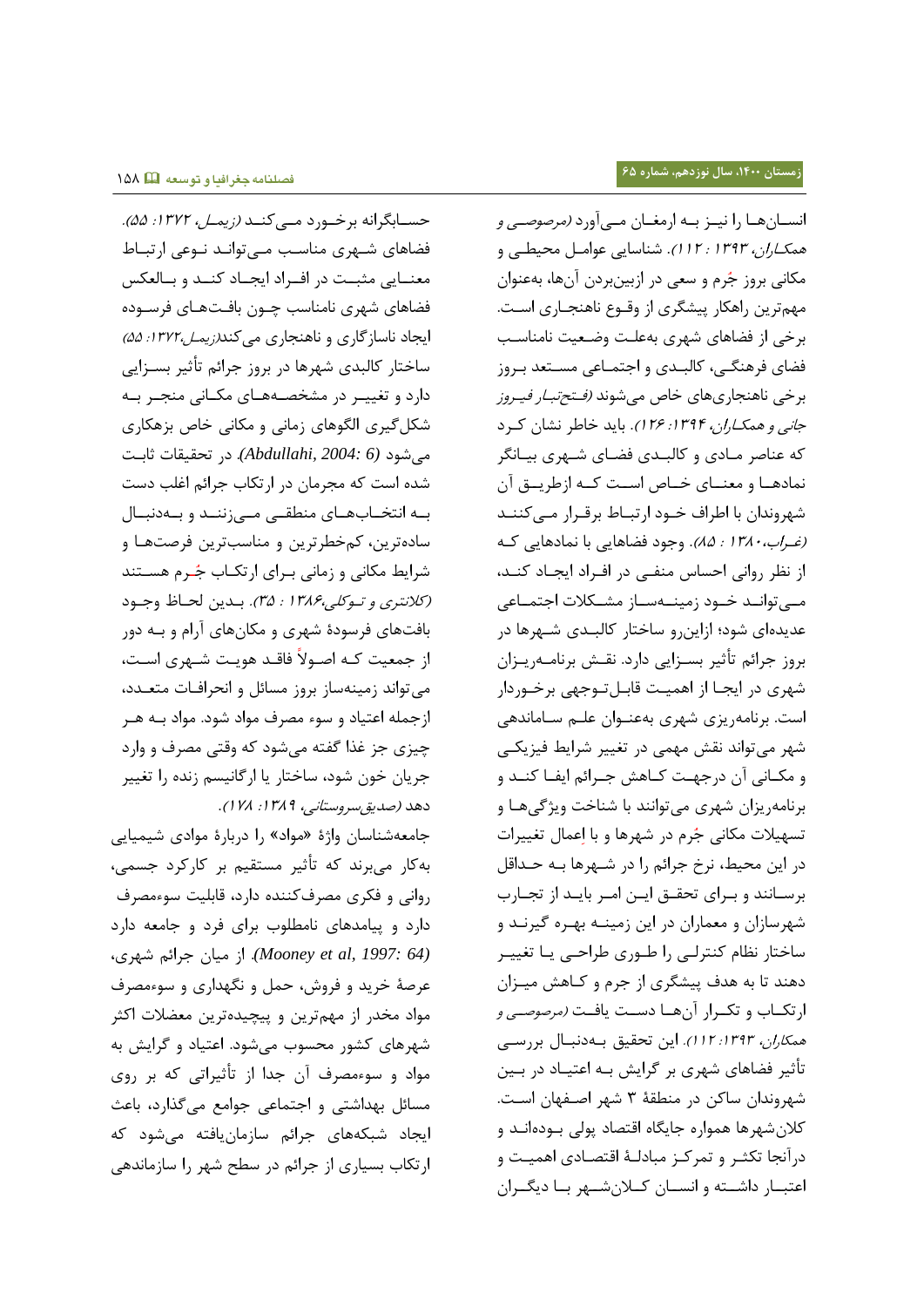حســابگرانه برخــورد مـــ کنــد (زیمـــ*ل، ١٣٧٢: ۵۵).* فضاهای شـهری مناسـب مـی توانـد نـوعی ارتبـاط معنـایی مثبـت در افـراد ایجـاد کنـد و بـالعکس فضاهای شهری نامناسب چـون بافـتهـای فرســوده ایجاد ناسازگاری و ناهنجاری میکند*(زیمل،۱۳۷۲: ۵۵)* ساختار کالبدی شهرها در بروز جرائم تأثیر بسـزایی دارد و تغییـر در مشخصـههـای مکـانی منجـر بـه شکل گیری الگوهای زمانی و مکانی خاص بزهکاری میشود *(6 2004: ,Abdullahi(*. در تحقیقی ثیبر شده است که مجرمان در ارتکاب جرائم اغلب دست به انتخـابهـای منطقـی مـیزننـد و بـهدنبـال سادهترین، کمخطرترین و مناسبترین فرصتها و شرایط مکانی و زمانی برای ارتکـاب جُـرم هسـتند (کلانتری و توکلی،۱۳۸۶ : ۳۵). بدین لحاظ وجود بافتهای فرسودۀ شهری و مکانهای آرام و بـه دور از جمعیت کـه اصـولاً فاقـد هویـت شـهری اسـت، می تواند زمینهساز بروز مسائل و انحرافـات متعـدد، ازجمله اعتیاد و سوء مصرف مواد شود. مواد بـه هـر گیاد جا غذا گفته میشود که وقتی مصاف و وارد جریان خون شود، ساختار یا ارگانیسم زنده را تغییر دهد (صديق سروستاني، ١٣٨٩: ٧٨ ().

جامعهشناسان واژۀ «مواد» را دربارۀ موادی شیمیایی بهکیر میباند که تأثیا مستقیج با کیرکاد جسمی، روانی و فکری مصرفکننده دارد، قابلیت سوءمصرف دارد و ییامدهای نامطلوب برای فرد و جامعه دارد *(64 :Mooney et al, 1997*). از میان جرائم شهری، عرصۀ خريد و فروش، حمل و نگهداري و سوءمصرف مواد مخدر از مهمترین و پیچیدهترین معضلات اکثر شهرهای کشور محسوب می شود. اعتیاد و گرایش به مواد و سوءمصرف آن جدا از تأثیراتی که بر روی مسیئل بهداشتی و اجتمیعی جوامع میگذارد، بیعث ایجاد شبکههای جرائم سازمانیافته می شود که ارتکاب بسیاری از جرائم در سطح شهر را سازماندهی انســانهــا را نيــز بــه ارمغــان مــي آورد *(مرصوصــي و* هم*کاران، ۱۳۹۳: ۱۱۲).* شناسایی عوامل محیطی و مکانی بروز جُرم و سعی در ازبینبردن آنها، بهعنوان مهمترین راهکار پیشگری از وقـوع ناهنجـاری اسـت. برخی از فضاهای شهری بهعلت وضعیت نامناسب فضای فرهنگے، کالبـدی و اجتمـاعی مسـتعد بـروز برخی ناهنجاریهای خاص میشوند *(فـتحتبـار فيـروز* جانبی و هم*کاران، 1۳۹۴: ۱۲۶)*. باید خاطر نشان کرد که عناصر مـادی و کالبـدی فضـای شـهری بیـانگر نمادهـا و معنـای خـاص اسـت کـه ازطريـق آن شهروندان با اطراف خـود ارتبـاط برقـرار مـیکننـد (*غراب، ١٣٨٠ : ٨۵)*. وجود فضاهایی با نمادهایی که از نظر روانی احساس منفی در افـراد ایجـاد کنـد، مے توانید خیود زمینے سیاز مشکلات اجتمیاعی عدیدهای شود؛ ازاین رو ساختار کالبـدی شـهرها در بروز جرائم تأثیر بسـزایی دارد. نقـش برنامــهریــزان شهری در ایجـا از اهمیـت قابـلتـوجهی برخـوردار است. برنامهریزی شهری بهعنـوان علـم سـاماندهی شهر میتواند نقش مهمی در تغییر شرایط فیزیکی و مکـانی آن درجهـت کـاهش جـرائم ایفـا کنـد و برنامهریزان شهری میتوانند با شناخت ویژگیها و تسهیلات مکانی جُرم در شهرها و با اِعمال تغییرات در این محیط، نرخ جرائم را در شـهرها بـه حـداقل برسانند و برای تحقیق ایـن امـر بایـد از تجـارب شهرسازان و معماران در این زمینـه بهـره گیرنـد و ساختار نظام کنترلی را طـوری طراحـی یـا تغییـر دهند تا به هدف پیشگری از جرم و کـاهش میـزان ارتکاب و تکرار آنها دست یافت *(مرصوصی و* هم*کاران، 1۳۹۳: ۱۱۲).* این تحقیق بهدنبال بررسی تأثیر فضاهای شهری بر گرایش بـه اعتیــاد در بــین شهروندان ساکن در منطقۀ ۳ شهر اصفهان است. کلان شهرها همواره جایگاه اقتصاد پولی بودهانـد و درآنجا تکثـر و تمرکـز مبادلـهٔ اقتصـادی اهمیـت و اعتبار داشته و انسان کلانشهر با دیگران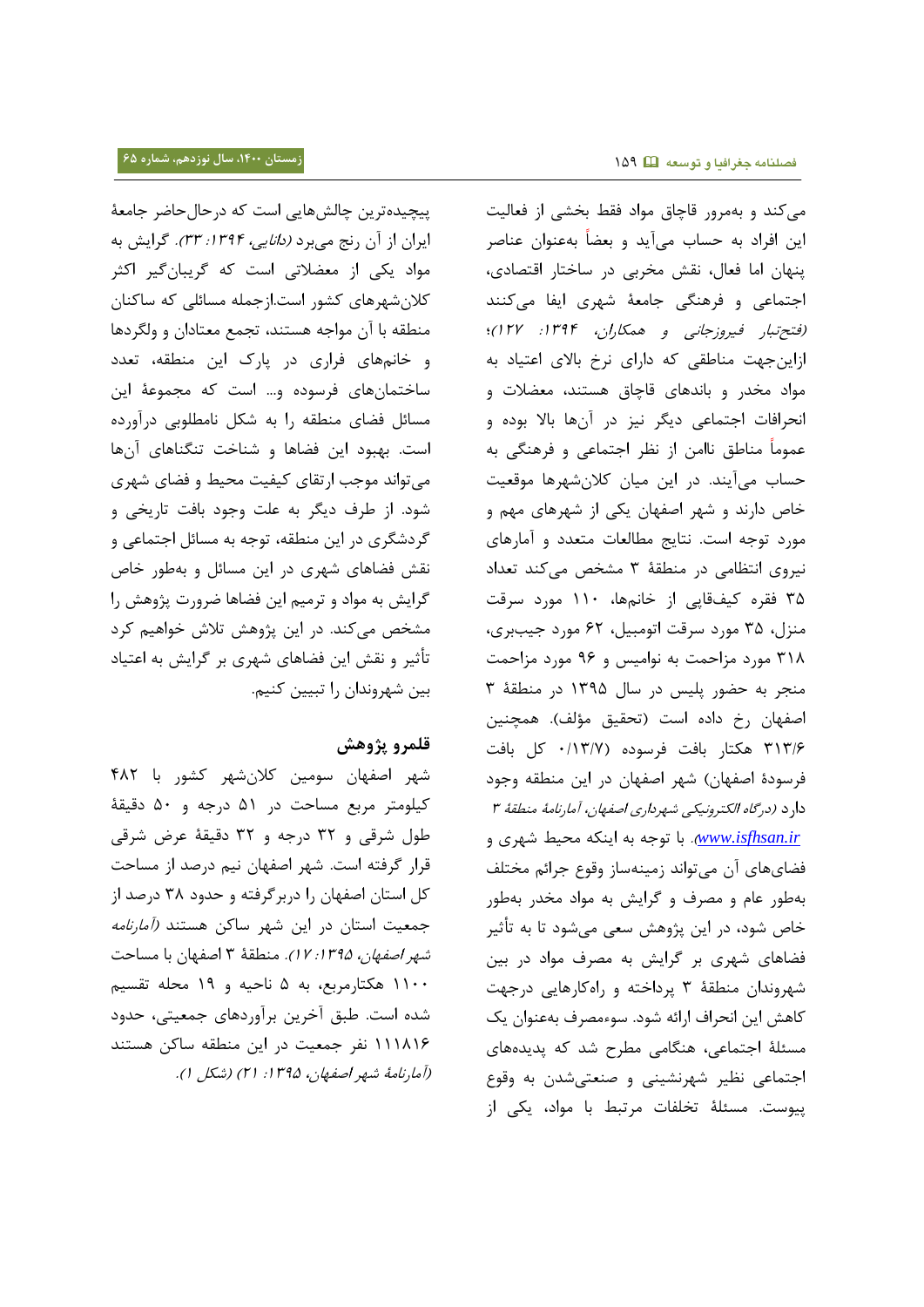پیچیده ترین چالشهایی است که درحال حاضر جامعۀ ایران از آن رنج میبرد *(دانایی، ۱۳۹۴: ۳۳).* گرایش به مواد یکی از معضلاتی است که گریبانگیر اکثر کلان شهرهای کشور است.ازجمله مسائلی که ساکنان منطقه با آن مواجه هستند، تجمع معتادان و ولگردها و خانمهای فراری در پارک این منطقه، تعدد ساختمانهای فرسوده و... است که مجموعۀ این مسائل فضای منطقه را به شکل نامطلوبی درآورده است. بهبود این فضاها و شناخت تنگناهای آنها میتواند موجب ارتقای کیفیت محیط و فضای شهری شود. از طرف دیگر به علت وجود بافت تاریخی و گردشگری در این منطقه، توجه به مسائل اجتماعی و نقش فضاهای شهری در این مسائل و بهطور خاص گرایش به مواد و ترمیم این فضاها ضرورت پژوهش را مشخص میکند. در این پژوهش تلاش خواهیم کرد تأثیر و نقش این فضاهای شهری بر گرایش به اعتیاد بین شهروندان را تبیین کنیم.

# **قلمرو پژوهش**

شهر اصفهان سومین کلانِشهر کشور با ۴۸۲ کیلومتر مربع مساحت در ۵۱ درجه و ۵۰ دقیقۀ طول شرقی و ۳۲ درجه و ۳۲ دقیقۀ عرض شرقی قرار گرفته است. شهر اصفهان نیم درصد از مساحت کل استان اصفهان را دربرگرفته و حدود ۳۸ درصد از جمعیت استان در این شهر ساکن هستند *(آمارنامه* شهر *اصفهان، ۱۳۹۵: ۱۷).* منطقهٔ ۳ اصفهان با مساحت 3311 هکتیرمابع، به 5 نیقیه و 33 محله تقسیج شده است. طبق آخرین برآوردهای جمعیتی، حدود ۱۱۱۸۱۶ نفر جمعیت در این منطقه ساکن هستند (آمارنامۀ شهر اصفهان، ١٣٩۵: ٢١) (شکل ١).

میکند و بهمرور قاچاق مواد فقط بخشی از فعالیت این افراد به حساب میآید و بعضاً بهعنوان عناصر پنهان اما فعال، نقش مخربی در ساختار اقتصادی، اجتماعی و فرهنگی جامعۀ شهری ایفا میکنند (فتح تبار فیروزجانی و همکاران، 1۳۹۴: ۱۲۷)؛ ازاین جهت مناطقی که دارای نرخ بالای اعتیاد به مواد مخدر و باندهای قاچاق هستند، معضلات و انحرافات اجتماعی دیگر نیز در آنها بالا بوده و عموماً مناطق ناامن از نظر اجتماعی و فرهنگی به حساب میآیند. در این میان کلانشهرها موقعیت خاص دارند و شهر اصفهان یکی از شهرهای مهم و مورد توجه است. نتایج مطالعات متعدد و آمارهای نیروی انتظامی در منطقۀ ۳ مشخص میکند تعداد ۳۵ فقره کیفقایی از خانمها، ۱۱۰ مورد سرقت منزل، ۳۵ مورد سرقت اتومبیل، ۶۲ مورد جیببری، ۳۱۸ مورد مزاحمت به نوامیس و ۹۶ مورد مزاحمت منجر به حضور پلیس در سال ۱۳۹۵ در منطقۀ ۳ اصفهان رخ داده است (تحقیق مؤلف). همچنین 131/1 هکتیر بیف فاسودا )1/31/1 کل بیف فرسودۀ اصفهان) شهر اصفهان در این منطقه وجود دارد (درگاه الکترونیکی شهرد*اری اصفهان، آمارنامۀ منطقۀ ۳* www.isfhsan.ir. با توجه به اینکه محیط شهری و فضایهای آن میتواند زمینهساز وقوع جرائم مختلف بهطور عام و مصرف و گرایش به مواد مخدر بهطور خاص شود، در این پژوهش سعی میشود تا به تأثیر فضاهای شهری بر گرایش به مصرف مواد در بین شهروندان منطقۀ ۳ پرداخته و راهکارهایی درجهت کاهش این انحراف ارائه شود. سوءمصرف بهعنوان یک مسئلۀ اجتماعی، هنگامی مطرح شد که پدیدههای اجتماعی نظیر شهرنشینی و صنعتی شدن به وقوع پیوست. مسئلۀ تخلفات مرتبط با مواد، یکی از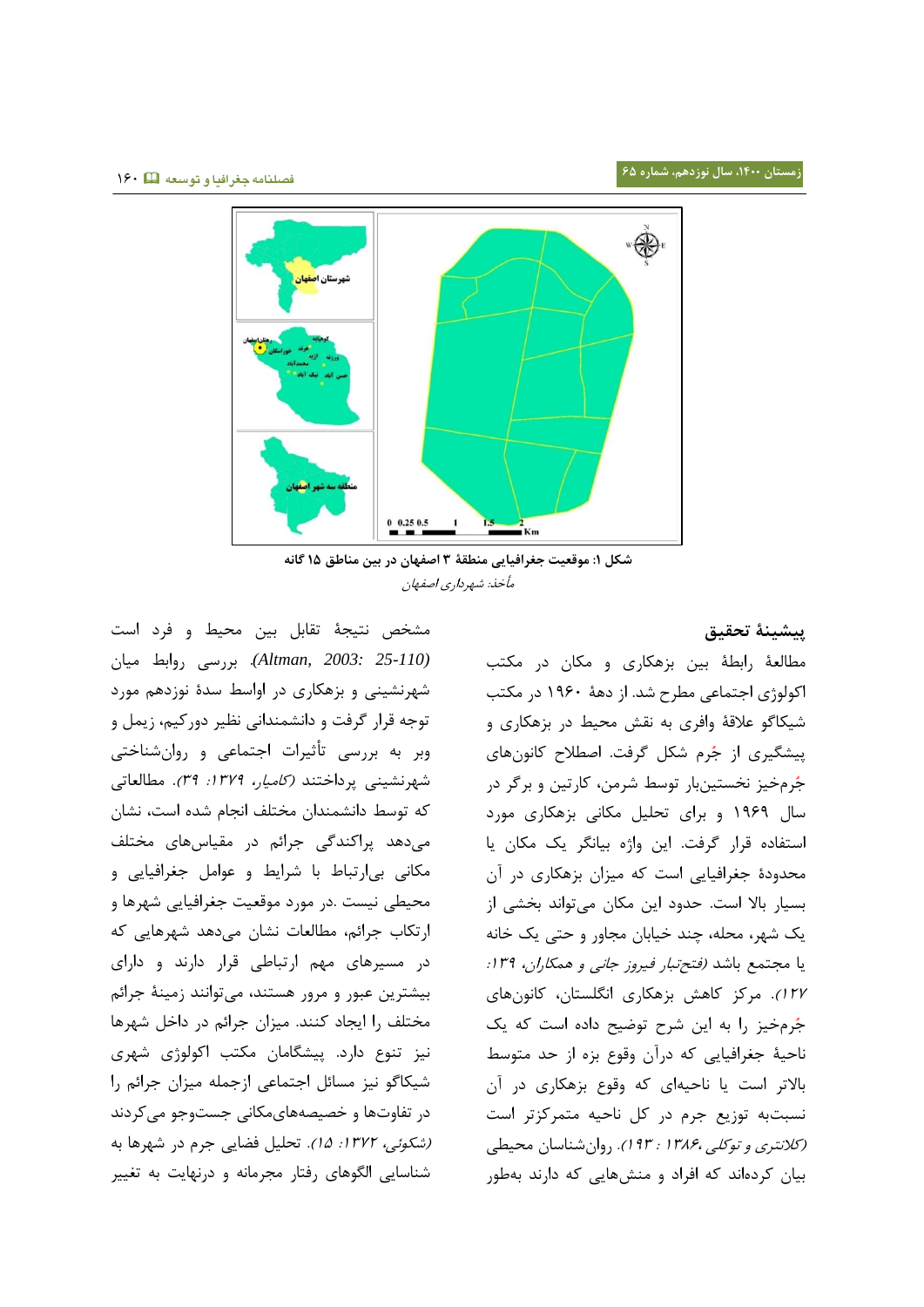

**شکل :0 موقعیت جغرافیایی منطقۀ 9 اصفهان در بین مناطق 05 گانه** مأخذ: شهرداری اصفهان

مشخص نتیجۀ تقابل بین محیط و فرد است *(25-110 2003: ,Altman(*. بارسی روابط میین شهرنشینی و بزهکاری در اواسط سدۀ نوزدهم مورد توجه قرار گرفت و دانشمندانی نظیر دورکیم، زیمل و وبر به بررسی تأثیرات اجتماعی و روانشناختی شهرنشینی پرداختند *(کامیار، ۱۳۷۹: ۳۹).* مطالعاتی که توسط دانشمندان مختلف انجام شده است، نشان میدهد پراکندگی جرائم در مقیاسهای مختلف مکانی بیارتباط با شرایط و عوامل جغرافیایی و محیطی نیست .در مورد موقعیت جغرافیایی شهرها و ارتکاب جرائم، مطالعات نشان میدهد شهرهایی که در مسیرهای مهم ارتباطی قرار دارند و دارای بیشترین عبور و مرور هستند، میتوانند زمینۀ جرائم مختلف را ایجاد کنند. میزان جرائم در داخل شهرها نیز تنوع دارد. پیشگامان مکتب اکولوژی شهری شیکاگو نیز مسائل اجتماعی ازجمله میزان جرائم را در تفاوتها و خصیصههایمکانی جستوجو میکردند (شکوئی، ۱۳۷۲: ۱۵). تحلیل فضایی جرم در شهرها به شناسایی الگوهای رفتار مجرمانه و درنهایت به تغییر

**پیشینۀ تحقیق** مطالعۀ رابطۀ بین بزهکاری و مکان در مکتب اکولوژی اجتماعی مطرح شد. از دهۀ ۱۹۶۰ در مکتب شیکاگو علاقۀ وافری به نقش محیط در بزهکاری و پیشگیری از جُرم شکل گرفت. اصطلاح کانونهای جُرمخیز نخستینبار توسط شرمن، کارتین و برگر در سال ۱۹۶۹ و برای تحلیل مکانی بزهکاری مورد استفاده قرار گرفت. این واژه بیانگر یک مکان یا محدودۀ جغرافیایی است که میزان بزهکاری در آن بسیار بالا است. حدود این مکان میتواند بخشی از یک شهر، محله، چند خیابان مجاور و حتی یک خانه یا مجتمع باشد *(فتحتبار فیروز جانی و همکاران، ۱۳۹:* 1۲۷). مرکز کاهش بزهکاری انگلستان، کانونهای جُرم خیز را به این شرح توضیح داده است که یک ناحیۀ جغرافیایی که درآن وقوع بزه از حد متوسط بالاتر است یا ناحیهای که وقوع بزهکاری در آن نسبتبه توزیع جرم در کل ناحیه متمرکزتر است (*کلانتری و توکلی ،۱۳۸۶ : ۹۳).* روان شناسان محیطی بیان کردهاند که افراد و منشهایی که دارند بهطور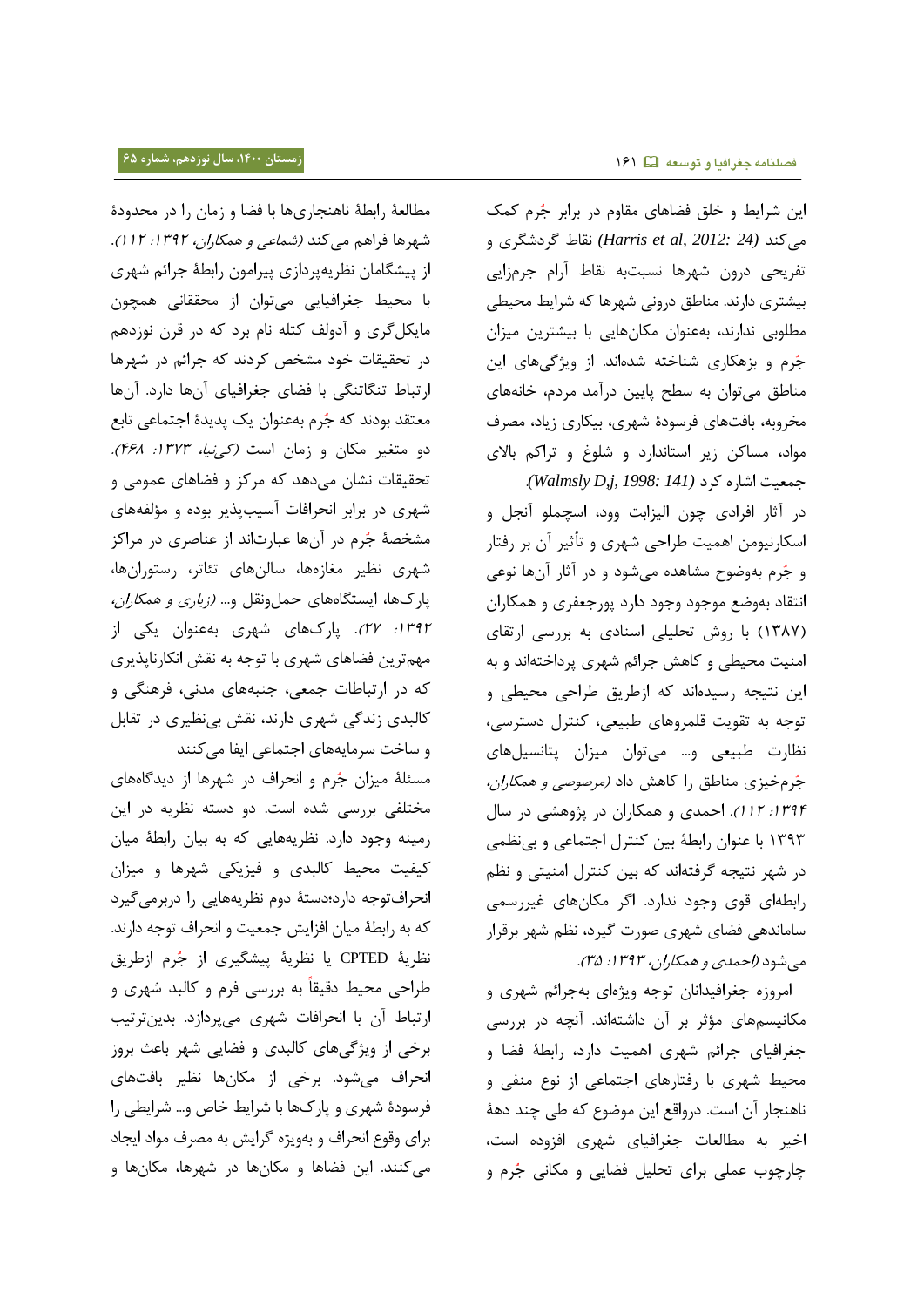این شرایط و خلق فضاهای مقاوم در برابر جُرم کمک میکند *(24 2012: ,al et Harris (*نقیب گادشگاد و تفریحی درون شهرها نسبتبه نقاط آرام جرمزایی بیشتری دارند. مناطق درونی شهرها که شرایط محیطی مطلوبی ندارند، بهعنوان مکانهایی با بیشترین میزان جُرم و بزهکاری شناخته شدهاند. از ویژگیهای این مناطق میتوان به سطح پایین درآمد مردم، خانههای مخروبه، بافتهای فرسودۀ شهری، بیکاری زیاد، مصرف مواد، مساکن زیر استاندارد و شلوغ و تراکم بالای جمعیت اشاره کرد *(Walmsly D,j, 1998: 141)* 

در آثار افرادی چون الیزابت وود، اسچملو آنجل و اسکارنیومن اهمیت طراحی شهری و تأثیر آن بر رفتار و جُرم بهوضوح مشاهده میشود و در آثار آنها نوعی انتقاد بهوضع موجود وجود دارد پورجعفری و همکاران (١٣٨٧) با روش تحلیلی اسنادی به بررسی ارتقای امنیت محیطی و کاهش جرائم شهری پرداختهاند و به این نتیجه رسیدهاند که ازطریق طراحی محیطی و توجه به تقویت قلمروهای طبیعی، کنترل دسترسی، نظارت طبیعی و... میتوان میزان پتانسیلهای جُرمخیزی مناطق را کاهش داد *(مرصوصی و همکاران،* :3131 331(. اقمدد و همکیران در دژوهشی در سیل ۱۳۹۳ با عنوان رابطۀ بین کنترل اجتماعی و بینظمی در شهر نتیجه گرفتهاند که بین کنترل امنیتی و نظم رابطهای قوی وجود ندارد. اگر مکانهای غیررسمی ساماندهی فضای شهری صورت گیرد، نظم شهر برقرار می شود (احمدی و همکاران، ۱۳۹۳: ۳۵).

امروزه جغرافیدانان توجه ویژهای بهجرائم شهری و مکانیسمهای مؤثر بر آن داشتهاند. آنچه در بررسی جغرافیای جرائم شهری اهمیت دارد، رابطۀ فضا و محیط شهری با رفتارهای اجتماعی از نوع منفی و ناهنجار آن است. درواقع این موضوع که طی چند دهۀ اخیر به مطالعات جغرافیای شهری افزوده است، چارچوب عملی برای تحلیل فضایی و مکانی جُرم و

مطالعۀ رابطۀ ناهنجاریها با فضا و زمان را در محدودۀ شهرها فراهم میکند *(شماعی و همکاران، ۱۳۹۲: ۱۱۲).* از پیشگامان نظریهپردازی پیرامون رابطۀ جرائم شهری با محیط جغرافیایی میتوان از محققانی همچون مایکل گری و آدولف کتله نام برد که در قرن نوزدهم در تحقیقات خود مشخص کردند که جرائم در شهرها ارتباط تنگاتنگی با فضای جغرافیای آنها دارد. آنها معتقد بودند که جُرم بهعنوان یک پدیدۀ اجتماعی تابع دو متغیر مکان و زمان است *(ک<sub>م</sub>نیا، ۱۳۷۳: ۴۶۸).* تحقیقات نشان میدهد که مرکز و فضاهای عمومی و شهری در برابر انحرافات آسیبپذیر بوده و مؤلفههای مشخصۀ جُرم در آنها عبارتاند از عناصری در مراکز شهری نظیر مغازهها، سالنهای تئاتر، رستورانها، پارکها، ایستگاههای حملونقل و… *(زیاری و همکاران،* :3131 11(. دیرکهید شهاد بهعنوان اکی ای مهم ترین فضاهای شهری با توجه به نقش انکارناپذیری که در ارتباطات جمعی، جنبههای مدنی، فرهنگی و کالبدی زندگی شهری دارند، نقش بینظیری در تقابل

و ساخت سرمایههای اجتماعی ایفا می کنند مسئلۀ میزان جُرم و انحراف در شهرها از دیدگاههای مختلفی بررسی شده است. دو دسته نظریه در این زمینه وجود دارد. نظریههایی که به بیان رابطۀ میان کیفیت محیط کالبدی و فیزیکی شهرها و میزان انحرافتوجه دارد؛دستهٔ دوم نظریههایی را دربرمیگیرد که به رابطهٔ میان افزایش جمعیت و انحراف توجه دارند. نظریۀ CPTED یا نظریۀ پیشگیری از جُرم ازطریق طراحی محیط دقیقاً به بررسی فرم و کالبد شهری و ارتباط آن با انحرافات شهری میپردازد. بدینترتیب برخی از ویژگیهای کالبدی و فضایی شهر باعث بروز انحراف میشود. برخی از مکانها نظیر بافتهای فرسودۀ شهری و پارکها با شرایط خاص و… شرایطی را برای وقوع انحراف و بهویژه گرایش به مصرف مواد ایجاد میکنند. این فضاها و مکانها در شهرها، مکانها و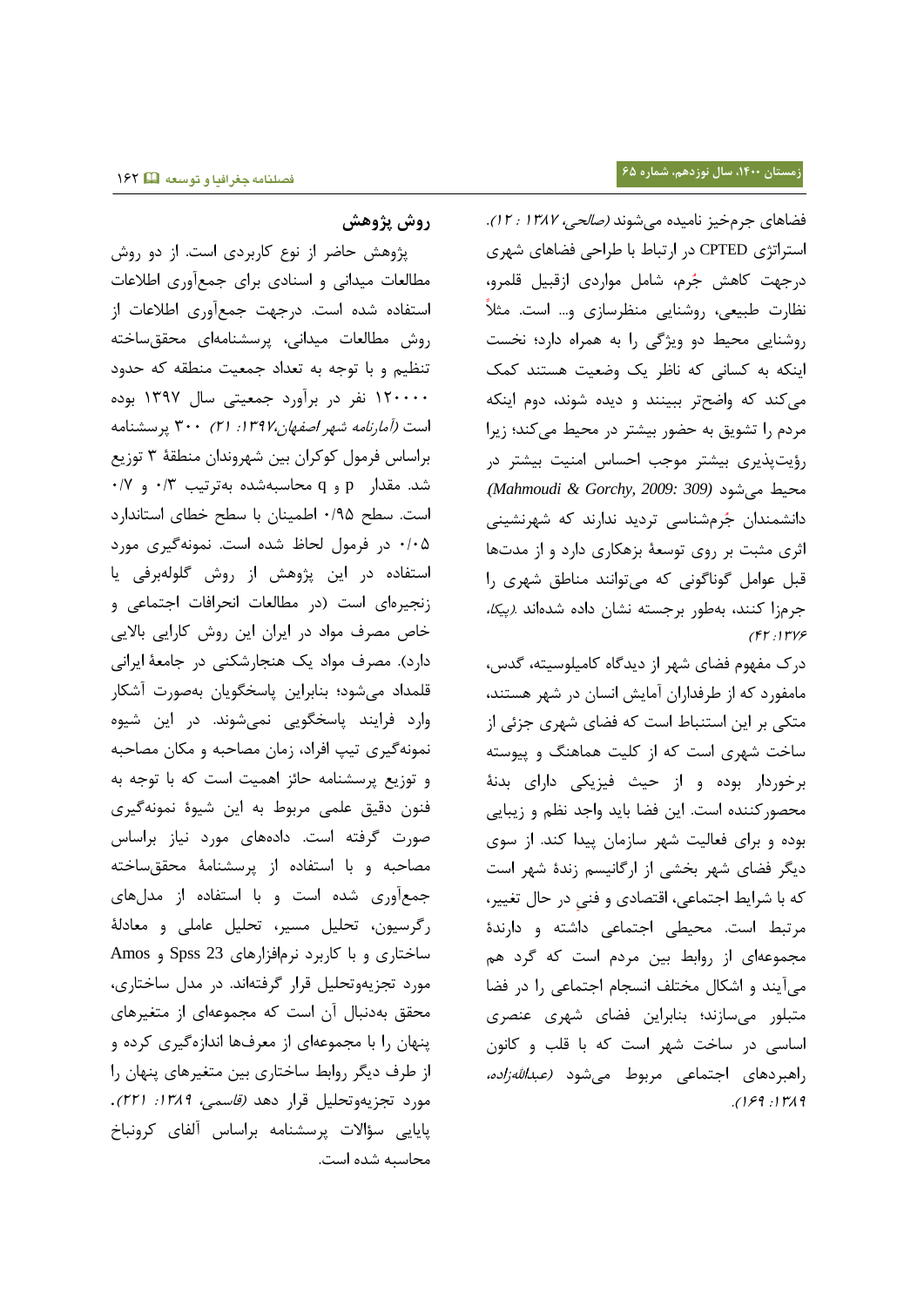# **روش پژوهش**

پژوهش حاضر از نوع کاربردی است. از دو روش مطالعات میدانی و اسنادی برای جمعآوری اطلاعات استفاده شده است. درجهت جمعآوری اطلاعات از روش مطالعات میدانی، پرسشنامهای محقق ساخته تنظیم و با توجه به تعداد جمعیت منطقه که حدود 311111 نفا در باآورد جمعیتی سیل 3131 بودا است *(آمارنامه شهر اصفهان،۱۳۹۷:* ۲۱) ۳۰۰ پرسشنامه براساس فرمول کوکران بین شهروندان منطقۀ ۳ توزیع  $\cdot$ ۰/۲ مقدار p و q محاسبهشده بهترتیب ۰/۳ و است. سطح ۰/۹۵ اطمینان با سطح خطای استاندارد ۰/۰۵ در فرمول لحاظ شده است. نمونهگیری مورد استفاده در این پژوهش از روش گلولهبرفی یا زنجیرهای است (در مطالعات انحرافات اجتماعی و خاص مصرف مواد در ایران این روش کارایی بالایی دارد). مصرف مواد یک هنجارشکنی در جامعۀ ایرانی قلمداد میشود؛ بنابراین پاسخگویان بهصورت آشکار وارد فرایند پاسخگویی نمیشوند. در این شیوه نمونهگیری تیپ افراد، زمان مصاحبه و مکان مصاحبه و توزیع پرسشنامه حائز اهمیت است که با توجه به فنون دقیق علمی مربوط به این شیوۀ نمونهگیری صورت گرفته است. دادههای مورد نیاز براساس مصاحبه و با استفاده از پرسشنامۀ محقق ساخته جمعآوری شده است و با استفاده از مدلهای رگرسیون، تحلیل مسیر، تحلیل عاملی و معادلۀ ساختاری و با کاربرد نرمافزارهای 23 Spss و Amos مورد تجزیهوتحلیل قرار گرفتهاند. در مدل ساختاری، محقق بهدنبال آن است که مجموعهای از متغیرهای پنهان را با مجموعهای از معرفها اندازهگیری کرده و از طرف دیگر روابط ساختاری بین متغیرهای پنهان را مورد تجزیهوتحلیل قرار دهد *(قاسمی، ١٣٨٩: ٢٢١).* پایایی سؤالات پرسشنامه براساس آلفای کرونباخ محاسبه شده است.

فضاهای جرمخیز نامیده میشوند *(صالحی، ۱۳۸۷ : ۱۲).* استراتژی CPTED در ارتباط با طراحی فضاهای شهری درجهت کاهش جُرم، شامل مواردی ازقبیل قلمرو، نظارت طبیعی، روشنایی منظرسازی و… است. مثلاً روشنایی محیط دو ویژگی را به همراه دارد؛ نخست اینکه به کسانی که ناظر یک وضعیت هستند کمک میکند که واضحتر ببینند و دیده شوند، دوم اینکه مردم را تشویق به حضور بیشتر در محیط میکند؛ زیرا رؤیتپذیری بیشتر موجب احساس امنیت بیشتر در محیط میشود *(309 2009: ,Gorchy & Mahmoudi(*. دانشمندان جُرمشناسی تردید ندارند که شهرنشینی اثری مثبت بر روی توسعۀ بزهکاری دارد و از مدتها قبل عوامل گوناگونی که میتوانند مناطق شهری را جرمزا کنند، بهطور برجسته نشان داده شدهاند *.(پیکا،*  $(51 :1749)$ 

درک مفهوم فضای شهر از دیدگاه کامیلوسیته، گدس، مامفورد که از طرفداران آمایش انسان در شهر هستند، متکی بر این استنباط است که فضای شهری جزئی از ساخت شهری است که از کلیت هماهنگ و پیوسته برخوردار بوده و از حیث فیزیکی دارای بدنۀ محصورکننده است. این فضا باید واجد نظم و زیبایی بوده و برای فعالیت شهر سازمان پیدا کند. از سوی دیگر فضای شهر بخشی از ارگانیسم زندۀ شهر است که با شرایط اجتماعی، اقتصادی و فنی در حال تغییر، مرتبط است. محیطی اجتماعی داشته و دارندۀ مجموعهای از روابط بین مردم است که گرد هم میآیند و اشکال مختلف انسجام اجتماعی را در فضا متبلور میسازند؛ بنابراین فضای شهری عنصری اساسی در ساخت شهر است که با قلب و کانون راهبردهای اجتماعی مربوط میشود *(عبداللهزاده،*  $.199.11719$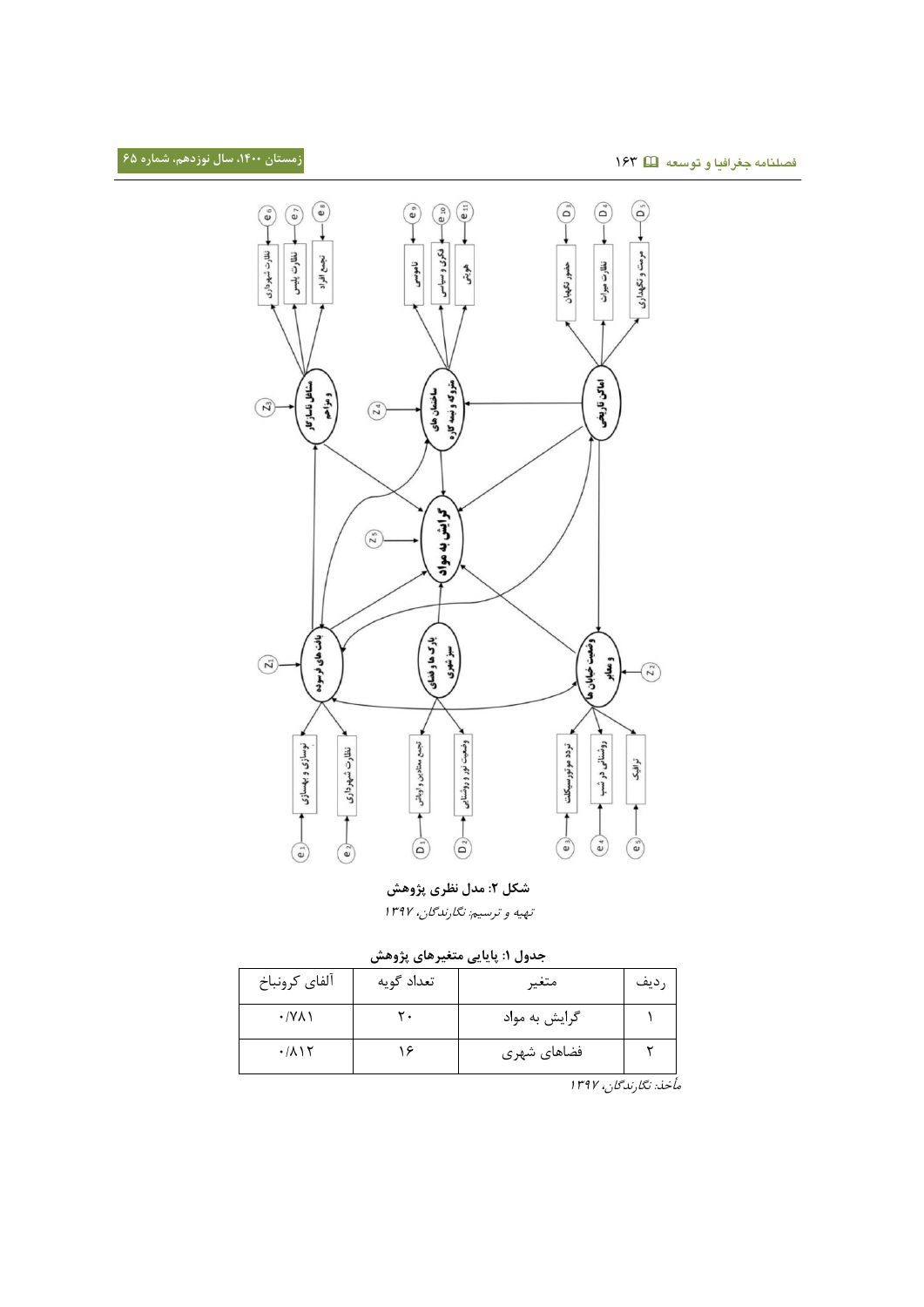

**شکل :0 مدل نظری پژوهش**

تهیه و ترسیم: نگارندگان، ۱۳۹۷

|  | جدول ۱: پایایی متغیرهای پژوهش |  |  |  |
|--|-------------------------------|--|--|--|
|--|-------------------------------|--|--|--|

| آلفاي كرونباخ                      | تعداد گويه | متغير         | رديف |
|------------------------------------|------------|---------------|------|
| $\cdot$ /Y $\wedge$ )              | ٣.         | گرایش به مواد |      |
| $\cdot$ / $\wedge$ $\wedge$ $\vee$ |            | فضاهای شهری   |      |

مأتذ: نگیرندگین، 3131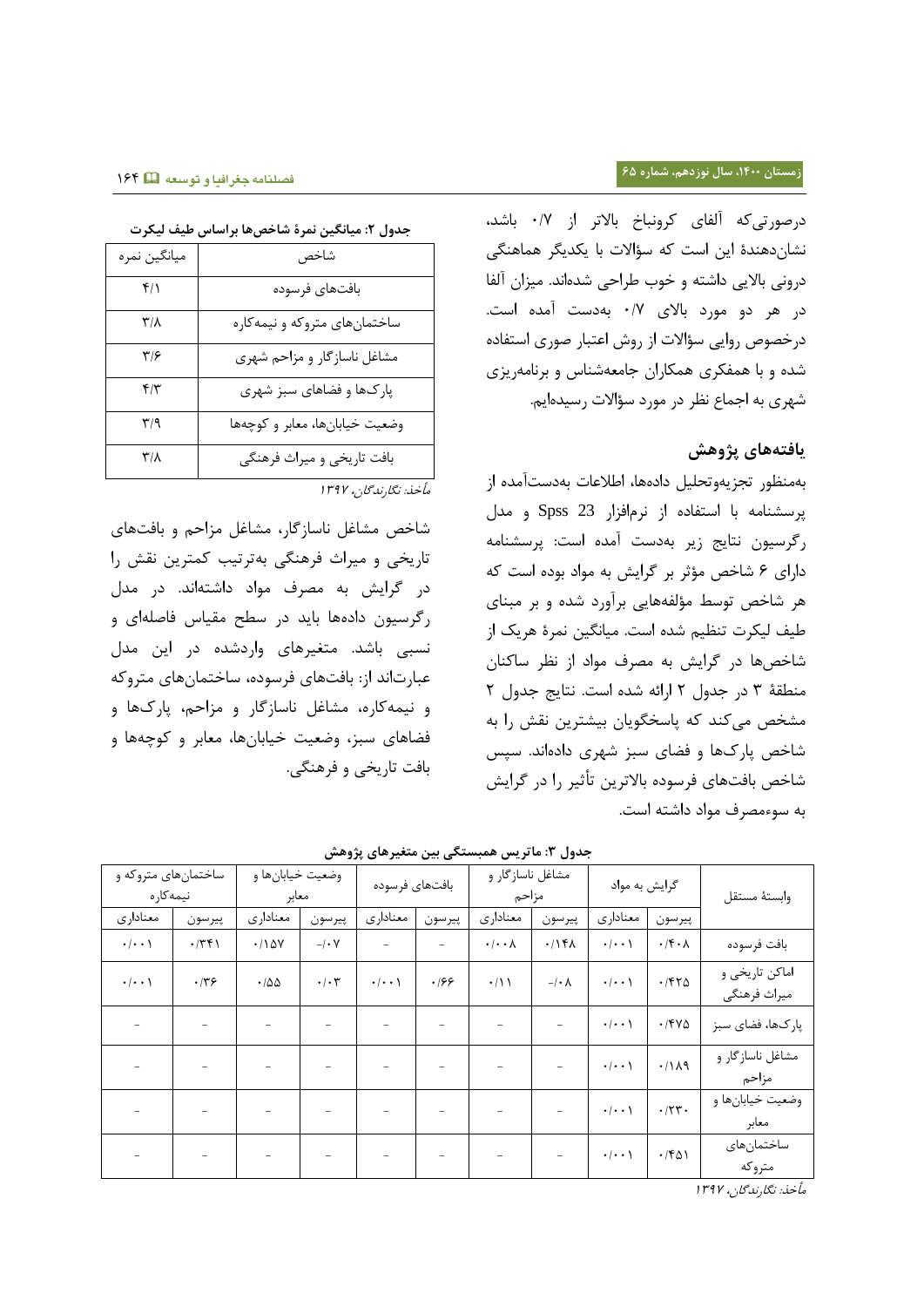## **زمستان ،0011 سال نوزدهم، شماره 65**

درصورتیکه آلفای کرونباخ بالاتر از ۰/۷ باشد، نشاندهندۀ این است که سؤالات با یکدیگر هماهنگی درونی بالایی داشته و خوب طراحی شدهاند. میزان آلفا در هر دو مورد بالای ۰/۷ بهدست آمده است. درخصوص روایی سؤالات از روش اعتبار صوری استفاده شده و با همفکری همکاران جامعهشناس و برنامهریزی شهری به اجماع نظر در مورد سؤالات رسیدهایم.

# **یافتههای پژوهش**

بهمنظور تجزیهوتحلیل دادهها، اطلاعات بهدستآمده از داسشنیمه بی استفیدا ای نامافاار 23 Spss و مدل رگرسیون نتایج زیر بهدست آمده است: پرسشنامه دارای ۶ شاخص مؤثر بر گرایش به مواد بوده است که هر شاخص توسط مؤلفههایی برآورد شده و بر مبنای طیف لیکرت تنظیم شده است. میانگین نمرۀ هریک از شاخصها در گرایش به مصرف مواد از نظر ساکنان منطقۀ ٣ در جدول ٢ ارائه شده است. نتایج جدول ٢ مشخص میکند که پاسخگویان بیشترین نقش را به شاخص پارکها و فضای سبز شهری دادهاند. سپس شاخص بافتهای فرسوده بالاترین تأثیر را در گرایش به سوءمصرف مواد داشته است.

**جدول :9 ماتریس همبستگی بین متغیرهای پژوهش** وابستۀ مستقل گرایش به مواد مشاغل ناسازگار و مزاحم بافتهای فرسوده وضعیت خیابانها و معابر ساختمانهای متروکه و نیمه کار ه ییرسون | معناداری | پیرسون | معناداری | معناداری | پیرسون | سعناداری | پیرسون | معناداری بافت فرسوده | ۱/۴۰۸ | ۱/۱۴۸ | ۱/۱۰۸ | - | - | - | ۱/۱۵۷ | ۱/۲۴۱ | ۱/۰۰۱ | ۱/۱۰۱۰ اماکن تاریخی و میراث فرهنگی 1/113 1/114 | 1/113 | 1/113 | 1/113 | 1/113 | 1/113 | 1/113 | 1/113 | 1/113 | 1/113 | 1/113 | 1/113 | 1/113 | 1 پارک&ا، فضای سبز | ۱٬۴۷۵ | ۰٫۰۰۱ | - - | - - | - - | - - | - - | - - | - - | - - | -مشاغل ناساز گار و مزاحم - - - - - - - - 1/113 1/333 وضعیت خیابانها و معابر - - - - - - - - 1/113 1/111 ساختمانهای متروکه - | - | - | - | - | - | - | - | <sup>-</sup> | 1/1543

مأتذ: نگیرندگین، 3131

## **فصلنامه جغرافیا و توسعه** 311

| س سیب ہیں۔   | — ர. – ப<br>بصون ، میاسیس      |
|--------------|--------------------------------|
| ميانگين نمره | شاخص                           |
| ۴۱۱          | بافتهاى فرسوده                 |
| ۳/۸          | ساختمانهای متروکه و نیمهکاره   |
| ۳۱۶          | مشاغل ناسازگار و مزاحم شهری    |
| ۴۱۳          | پارکها و فضاهای سبز شهری       |
| ۳/۹          | وضعيت خيابانها، معابر و كوچەها |
| ۳/۸          | بافت تاریخی و میراث فرهنگی     |
|              | مأخذ: نگارندگان، ۱۳۹۷          |

شاخص مشاغل ناسازگار، مشاغل مزاحم و بافتهای تاریخی و میراث فرهنگی بهترتیب کمترین نقش را در گاااش به مصاف مواد داشتهاند. در مدل رگرسیون دادهها باید در سطح مقیاس فاصلهای و نسبی باشد. متغیرهای واردشده در این مدل عبارتاند از: بافتهای فرسوده، ساختمانهای متروکه و نیمهکاره، مشاغل ناسازگار و مزاحم، یارکها و فضاهای سبز، وضعیت خیابانها، معابر و کوچهها و

بافت تاریخی و فرهنگی.

**جدول :0 میانگین نمرۀ شاخصها براساس طیف لیکرت**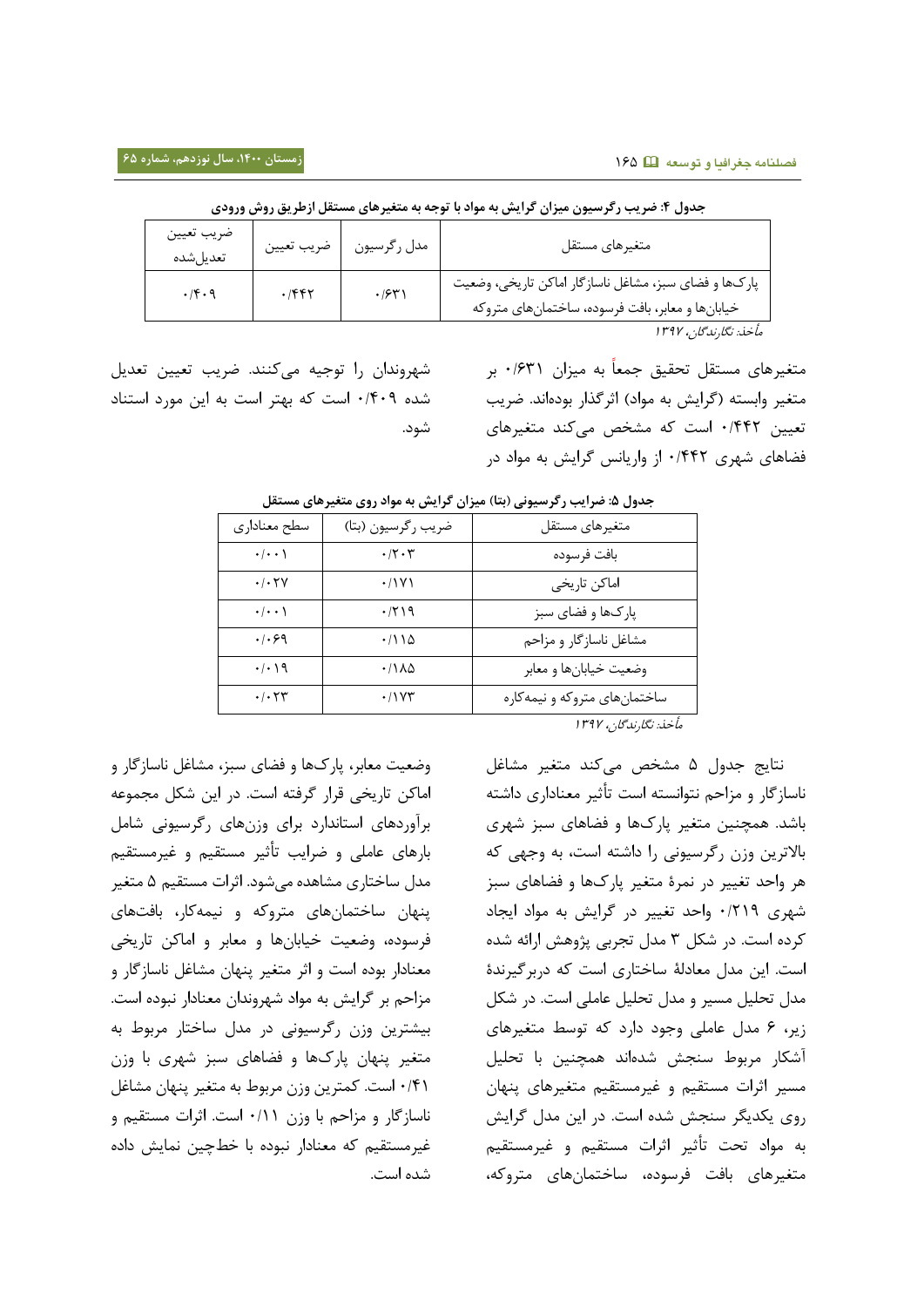| ضريب تعيين<br>تعديل شده | ضريب تعيين | مدل رگرسيون | متغيرهاي مستقل                                                                                            |
|-------------------------|------------|-------------|-----------------------------------------------------------------------------------------------------------|
| .19.9                   |            | .7971       | پارکها و فضای سبز، مشاغل ناسازگار اماکن تاریخی، وضعیت<br>خیابانها و معابر، بافت فرسوده، ساختمانهای متروکه |
|                         |            |             | مأخذ: نگارندگان، ۱۳۹۷                                                                                     |

جدول ۴: ضریب رگرسیون میزان گرایش به مواد با توجه به متغیرهای مستقل ازطریق روش ورودی

شهروندان را توجیه میکنند. ضریب تعیین تعدیل شده ۰/۴۰۹ است که بهتر است به این مورد استناد شود.

| جدول ۵: ضرایب رکرسیونی (بتا) میزان کرایش به مواد روی متغیرهای مستقل |                    |                              |
|---------------------------------------------------------------------|--------------------|------------------------------|
| سطح معناداري                                                        | ضريب رگرسيون (بتا) | متغيرهاي مستقل               |
| $\cdot/\cdot\cdot$                                                  | ۰/۲۰۳              | بافت فرسوده                  |
| $\cdot$ / $\cdot$ $\uparrow$ $\vee$                                 | ۰/۱۷۱              | اماكن تاريخي                 |
| $\cdot/\cdot\cdot$                                                  | ۰/۲۱۹              | پارکها و فضای سبز            |
| .1.99                                                               | ۱۱۵/۰              | مشاغل ناسازگار و مزاحم       |
| $\cdot/\cdot$ ) 9                                                   | ۱۱۸۵               | وضعيت خيابانها و معابر       |
| $\cdot$ / $\cdot$ $\uparrow \uparrow$                               | $\cdot$ / $\vee$ ۳ | ساختمانهای متروکه و نیمهکاره |
|                                                                     |                    |                              |

مأتذ: نگیرندگین، 3131

متغیرهای مستقل تحقیق جمعاً به میزان ۰/۶۳۱ بر متغیر وابسته (گرایش به مواد) اثرگذار بودهاند. ضریب تعیین ۰/۴۴۲ است که مشخص میکند متغیرهای فضاهای شهری ۰/۴۴۲ از واریانس گرایش به مواد در

نتایج جدول ۵ مشخص میکند متغیر مشاغل ناسازگار و مزاحم نتوانسته است تأثیر معناداری داشته باشد. همچنین متغیر یارکها و فضاهای سبز شهری بالاترین وزن رگرسیونی را داشته است، به وجهی که هر واحد تغییر در نمرۀ متغیر یارکها و فضاهای سبز شهری ۰/۲۱۹ واحد تغییر در گرایش به مواد ایجاد کرده است. در شکل ۳ مدل تجربی پژوهش ارائه شده است. این مدل معادلۀ ساختاری است که دربرگیرندۀ مدل تحلیل مسیر و مدل تحلیل عاملی است. در شکل زیر، ۶ مدل عاملی وجود دارد که توسط متغیرهای آشکار مربوط سنجش شدهاند همچنین با تحلیل مسیر اثرات مستقیم و غیرمستقیم متغیرهای پنهان روی یکدیگر سنجش شده است. در این مدل گرایش به مواد تحت تأثیر اثرات مستقیم و غیرمستقیم متغیرهای بافت فرسوده، ساختمانهای متروکه،

وضعیت معابر، پارکها و فضای سبز، مشاغل ناسازگار و اماکن تاریخی قرار گرفته است. در این شکل مجموعه برآوردهای استاندارد برای وزنهای رگرسیونی شامل بارهای عاملی و ضرایب تأثیر مستقیم و غیرمستقیم مدل ساختاری مشاهده میشود. اثرات مستقیم ۵ متغیر پنهان ساختمانهای متروکه و نیمهکار، بافتهای فرسوده، وضعیت خیابانها و معابر و اماکن تاریخی معنادار بوده است و اثر متغیر پنهان مشاغل ناسازگار و مزاحم بر گرایش به مواد شهروندان معنادار نبوده است. بیشترین وزن رگرسیونی در مدل ساختار مربوط به متغیر پنهان پارکها و فضاهای سبز شهری با وزن ۰/۴۱ است. کمترین وزن مربوط به متغیر پنهان مشاغل ناسازگار و مزاحم با وزن ۰/۱۱ است. اثرات مستقیم و غیرمستقیم که معنادار نبوده با خطچین نمایش داده شده است.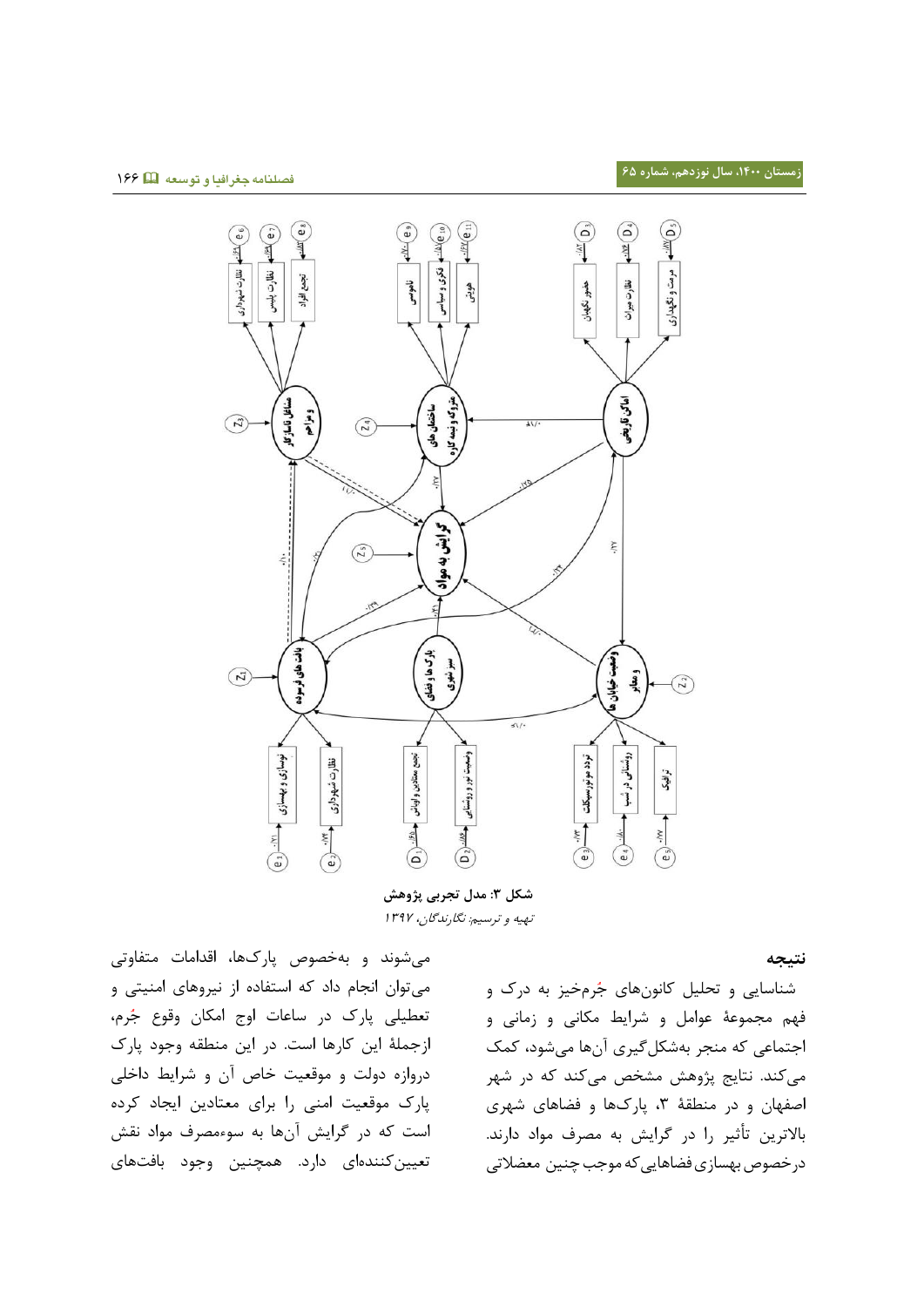

**شکل :9 مدل تجربی پژوهش** تهیه و ترسیم: نگارندگان، ۱۳۹۷

میشوند و بهتصوص دیرکهی، اقدامی متفیوتی می توان انجام داد که استفاده از نیروهای امنیتی و تعطیلی پارک در ساعات اوج امکان وقوع جُرم، ازجملۀ این کارها است. در این منطقه وجود پارک دروازه دولت و موقعیت خاص آن و شرایط داخلی پارک موقعیت امنی را برای معتادین ایجاد کرده است که در گرایش آنها به سوءمصرف مواد نقش تعیین کنندهای دارد. همچنین وجود بافتهای

**نتیجه** 

شناسایی و تحلیل کانونهای جُرمخیز به درک و فهم مجموعۀ عوامل و شرایط مکانی و زمانی و اجتماعی که منجر بهشکلگیری آنها میشود، کمک میکند. نتایج پژوهش مشخص میکند که در شهر اصفهان و در منطقۀ ۳، پارکها و فضاهای شهری بالاترین تأثیر را در گرایش به مصرف مواد دارند. درخصوص بهسازی فضاهایی که موجب چنین معضلاتی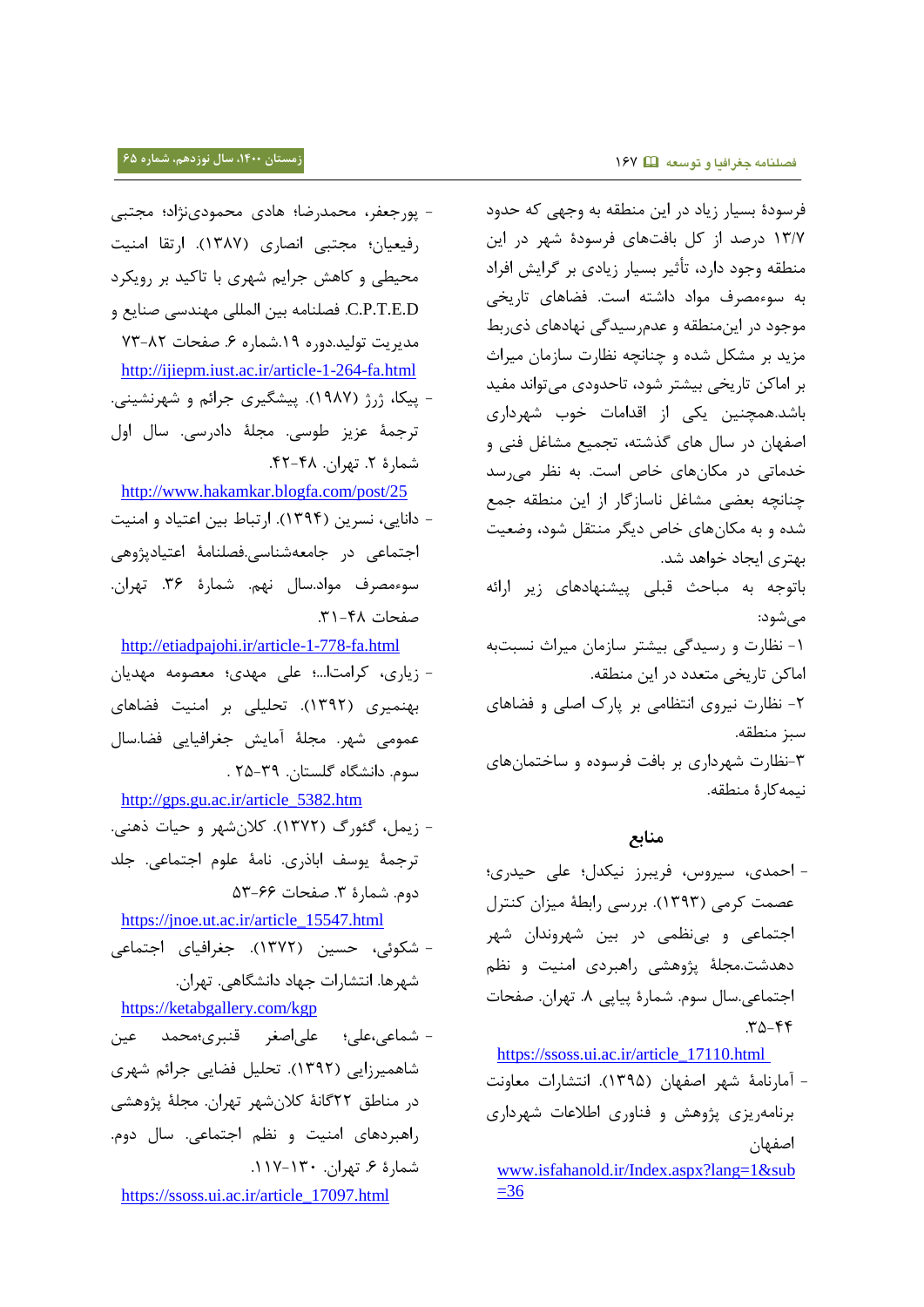- پورجعفر، محمدرضا؛ هادی محمودینژاد؛ مجتبی رفیعیان؛ مجتبی انصاری (۱۳۸۷). ارتقا امنیت محیطی و کاهش جرایم شهری با تاکید بر رویکرد C.P.T.E.D. فصلنامه بین المللی مهندسی صنایع و مدیریت تولید.دوره ۱۹.شماره ۶. صفحات ۸۲-۷۳ <http://ijiepm.iust.ac.ir/article-1-264-fa.html> - پیکا، ژرژ (۱۹۸۷). پیشگیری جرائم و شهرنشینی. ترجمۀ عزیز طوسی. مجلۀ دادرسی. سال اول شمارهٔ ۲. تهران. ۴۸-۴۲. <http://www.hakamkar.blogfa.com/post/25> - دانایی، نسرین (۱۳۹۴). ارتباط بین اعتیاد و امنیت اجتماعی در جامعهشناسی.فصلنامۀ اعتیادیژوهی سوءمصرف مواد.سال نهم. شمارۀ ٣۶. تهران. صفحات ۴۸-۳۱. <http://etiadpajohi.ir/article-1-778-fa.html>

- زیاری، کرامتا...؛ علی مهدی؛ معصومه مهدیان بهنمیری (۱۳۹۲). تحلیلی بر امنیت فضاهای عمومی شهر. مجلۀ آمایش جغرافیایی فضا.سال سوم. دانشگیا گلستین. 15-13 .

[http://gps.gu.ac.ir/article\\_5382.htm](http://gps.gu.ac.ir/article_5382.htm)

- زیمل، گئورگ (۱۳۷۲). کلانشهر و حیات ذهنی. ترجمۀ یوسف اباذری. نامۀ علوم اجتماعی. جلد  $\Delta Y - 59$  حفحات ۶۶-۵۳

[https://jnoe.ut.ac.ir/article\\_15547.html](https://jnoe.ut.ac.ir/article_15547.html) - شکوئی، حسین (۱۳۷۲). جغرافیای اجتماعی شهرها. انتشارات جهاد دانشگاهی. تهران.

<https://ketabgallery.com/kgp>

- شماعی،علی؛ علی|صغر قنبری؛محمد عین شاهمیرزایی (۱۳۹۲). تحلیل فضایی جرائم شهری در مناطق ٢٢گانۀ کلانشهر تهران. مجلۀ پژوهشی راهبردهای امنیت و نظم اجتماعی. سال دوم. شمارۀ ۶. تهران.  $14 - 11$ -

[https://ssoss.ui.ac.ir/article\\_17097.html](https://ssoss.ui.ac.ir/article_17097.html)

فرسودۀ بسیار زیاد در این منطقه به وجهی که حدود ١٣/٧ درصد از کل بافتهای فرسودۀ شهر در این منطقه وجود دارد، تأثیر بسیار زیادی بر گرایش افراد به سوءمصرف مواد داشته است. فضاهای تاریخی موجود در این منطقه و عدم رسیدگی نهادهای ذی بط مزید بر مشکل شده و چنانچه نظارت سازمان میراث بر اماکن تاریخی بیشتر شود، تاحدودی میتواند مفید باشد.همچنین یکی از اقدامات خوب شهرداری اصفهان در سال های گذشته، تجمیع مشاغل فنی و خدماتی در مکانهای خاص است. به نظر می رسد چنانچه بعضی مشاغل ناسازگار از این منطقه جمع شده و به مکانهای خاص دیگر منتقل شود، وضعیت بهتری ایجاد خواهد شد. باتوجه به مباحث قبلی ییشنهادهای زیر ارائه میشود:

۱- نظارت و رسیدگی بیشتر سازمان میراث نسبتبه اماکن تاریخی متعدد در این منطقه. ۲- نظارت نیروی انتظامی بر پارک اصلی و فضاهای سبز منطقه. ۳-نظارت شهرداری بر بافت فرسوده و ساختمانهای نیمهکا<sub>ً</sub>،ۀ منطقه.

### **منابع**

- احمدی، سیروس، فریبرز نیکدل؛ علی حیدری؛ عصمت کرمی (۱۳۹۳). بررسی رابطهٔ میزان کنترل اجتماعی و بینظمی در بین شهروندان شهر دهدشت.مجلهٔ پژوهشی راهبردی امنیت و نظم اجتماعی.سال سوم. شمارۀ پیاپی ۸. تهران. صفحات  $.72 - 97$ 

[https://ssoss.ui.ac.ir/article\\_17110.html](https://ssoss.ui.ac.ir/article_17110.html)

- آمارنامۀ شهر اصفهان (۱۳۹۵). انتشارات معاونت برنامهریزی پژوهش و فناوری اطلاعات شهرداری اصفهین [www.isfahanold.ir/Index.aspx?lang=1&sub](file:///C:/Documents%20and%20Settings/Kh.Mir%20Teymuri/Desktop/www.isfahanold.ir/Index.aspx%3flang=1&sub=36)  $=36$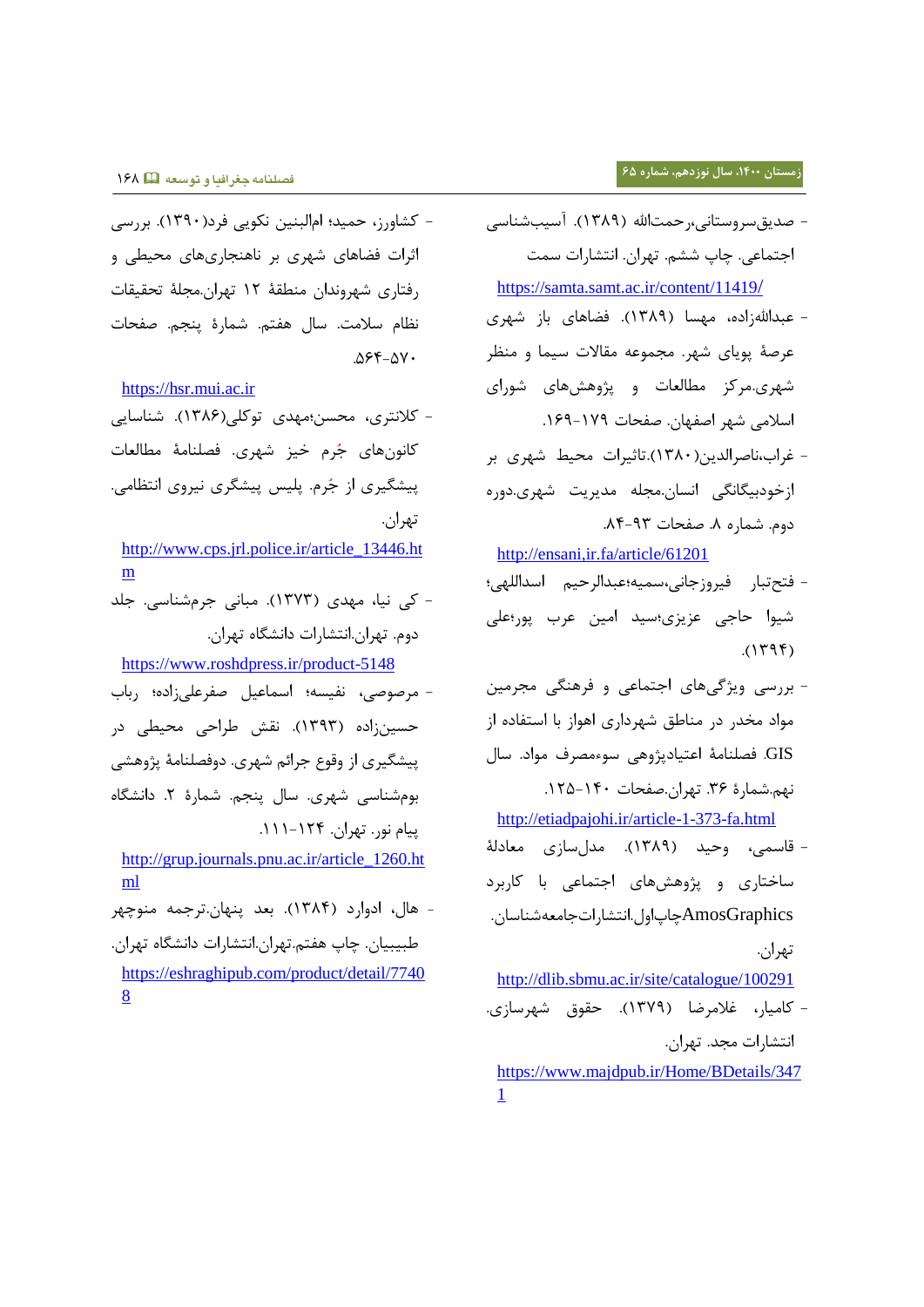**زمستان ،0011 سال نوزدهم، شماره 65**

- صدیق سروستانی،رحمتالله (۱۳۸۹). آسیبشناسی اجتماعی. چاپ ششم. تهران. انتشارات سمت [https://samta.samt.ac.ir/content/11419](https://samta.samt.ac.ir/content/11419/)/
- عبداللهزاده، مهسا (۱۳۸۹). فضاهای باز شهری عرصۀ پویای شهر. مجموعه مقالات سیما و منظر شهری.مرکز مطالعات و پژوهشهای شورای اسلامی شهر اصفهان. صفحات ١٧٩-١٤٩.
- غراب،ناصرالدین(۱۳۸۰).تاثیرات محیط شهری بر ازخودبیگانگی انسان.مجله مدیریت شهری.دوره دوم. شماره ٨. صفحات ٩٣-٨٤.

<http://ensani,ir.fa/article/61201>

- فتح تبار فیروزجانی،سمیه؛عبدالرحیم اسداللهی؛ شیوا حاجی عزیزی؛سید امین عرب پور؛علی  $.$ (1٣٩۴)
- بررسی ویژگیهای اجتماعی و فرهنگی مجرمین مواد مخدر در مناطق شهرداری اهواز با استفاده از GIS. فصلنامۀ اعتیادپژوهی سوءمصرف مواد. سال نهم.شمارۀ ٣۶. تهران.صفحات ١۴٠-١٢۵.

<http://etiadpajohi.ir/article-1-373-fa.html>

- قاسمی، وحید (۱۳۸۹). مدلسازی معادلۀ ساختاری و پژوهشهای اجتماعی با کاربرد AmosGraphicsگیپاول.انتشیرا جیمعهشنیسین. تهاان.

<http://dlib.sbmu.ac.ir/site/catalogue/100291>

- کامیار، غلامرضا (۱۳۷۹). حقوق شهرسازی. انتشارات مجد. تهران. [https://www.majdpub.ir/Home/BDetails/347](https://www.majdpub.ir/Home/BDetails/3471) [1](https://www.majdpub.ir/Home/BDetails/3471)

- کشاورز، حمید؛ امالبنین نکویی فرد(۱۳۹۰). بررسی اثرات فضاهای شهری بر ناهنجاریهای محیطی و رفتاری شهروندان منطقۀ ١٢ تهران.مجلۀ تحقیقات نظام سلامت. سال هفتم. شمارۀ ینجم. صفحات  $.055 - 0V$ 

[https://hsr.mui.ac.ir](https://hsr.mui.ac.ir/)

**فصلنامه جغرافیا و توسعه** 313

- کلانتری، محسن؛مهدی توکلی(۱۳۸۶). شناسایی کانون های جُرم خیز شهری. فصلنامۀ مطالعات ییشگیری از جُرم. پلیس پیشگری نیروی انتظامی. تهران.

[http://www.cps.jrl.police.ir/article\\_13446.ht](http://www.cps.jrl.police.ir/article_13446.htm) [m](http://www.cps.jrl.police.ir/article_13446.htm)

- کی نیی، مهدد )3111(. مبینی جامشنیسی. جلد دوم. تهران.انتشارات دانشگاه تهران.

<https://www.roshdpress.ir/product-5148>

- مرصوصی، نفیسه؛ اسماعیل صفرعلیزاده؛ رباب حسین;اده (۱۳۹۳). نقش طراحی محیطی در ییشگیری از وقوع جرائم شهری. دوفصلنامۀ پژوهشی بومشنیسی شهاد. سیل دنجج. شمیرۀ .1 دانشگیا ییام نور. تهران. ۱۲۴-۱۱۱.

[http://grup.journals.pnu.ac.ir/article\\_1260.ht](http://grup.journals.pnu.ac.ir/article_1260.html) [ml](http://grup.journals.pnu.ac.ir/article_1260.html)

- هیل، ادوارد )3131(. بعد دنهین.تاجمه منوگها طبیبیان. چاپ هفتم.تهران.انتشارات دانشگاه تهران. [https://eshraghipub.com/product/detail/7740](https://eshraghipub.com/product/detail/77408) [8](https://eshraghipub.com/product/detail/77408)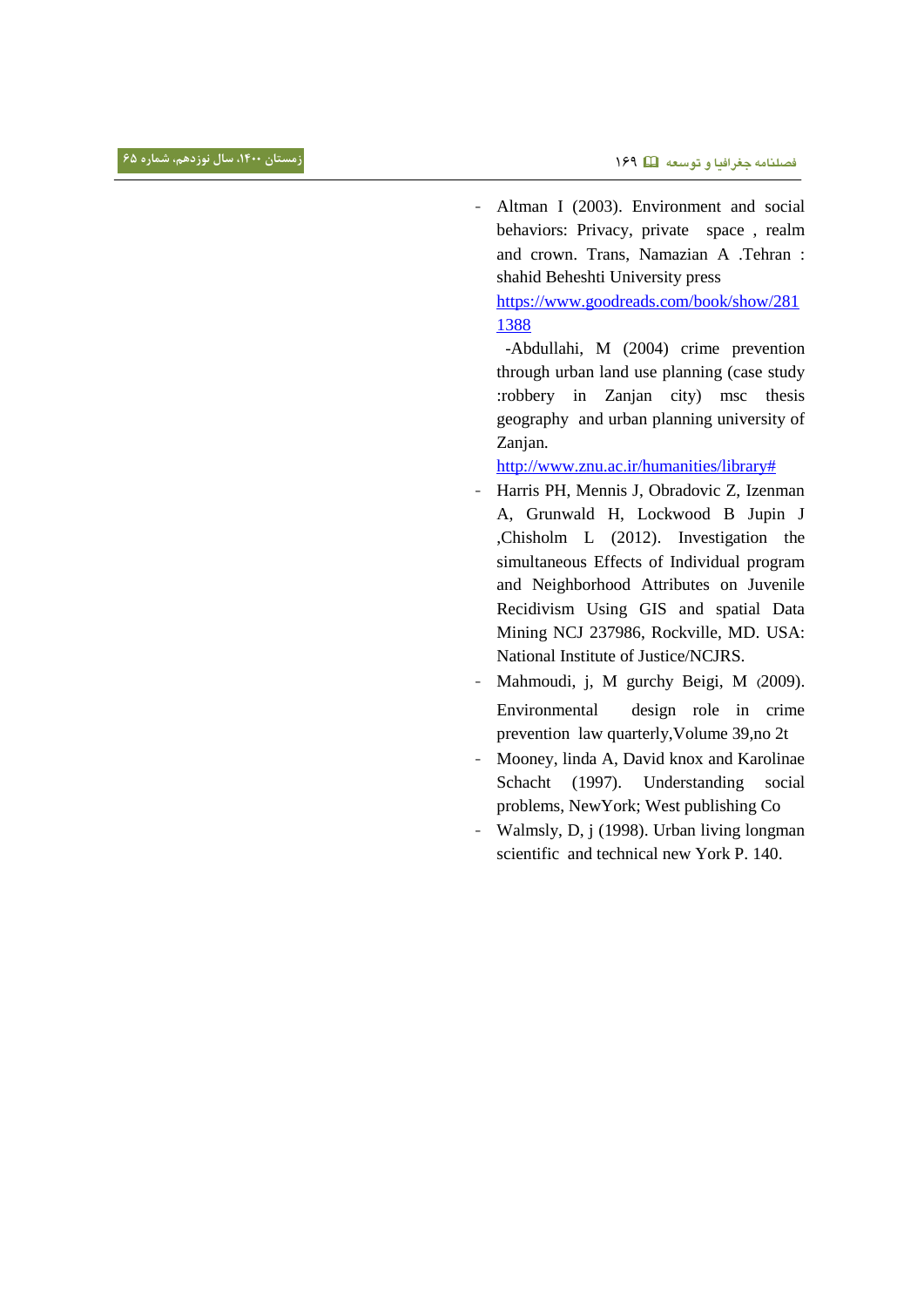- Altman I (2003). Environment and social behaviors: Privacy, private space , realm and crown. Trans, Namazian A .Tehran : shahid Beheshti University press

[https://www.goodreads.com/book/show/281](https://www.goodreads.com/book/show/2811388) [1388](https://www.goodreads.com/book/show/2811388) 

 -Abdullahi, M (2004) crime prevention through urban land use planning (case study :robbery in Zanjan city) msc thesis geography and urban planning university of Zanjan.

[http://www.znu.ac.ir/humanities/library#](http://www.znu.ac.ir/humanities/library%23)

- Harris PH, Mennis J, Obradovic Z, Izenman A, Grunwald H, Lockwood B Jupin J ,Chisholm L (2012). Investigation the simultaneous Effects of Individual program and Neighborhood Attributes on Juvenile Recidivism Using GIS and spatial Data Mining NCJ 237986, Rockville, MD. USA: National Institute of Justice/NCJRS.
- Mahmoudi, j, M gurchy Beigi, M (2009). Environmental design role in crime prevention law quarterly,Volume 39,no 2t
- Mooney, linda A, David knox and Karolinae Schacht (1997). Understanding social problems, NewYork; West publishing Co
- Walmsly, D, j (1998). Urban living longman scientific and technical new York P. 140.